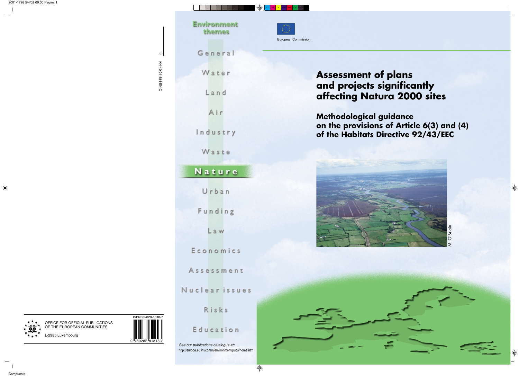*See our publications catalogue at:* http://europa.eu.int/comm/environment/pubs/home.htm

KH-40-01-884-EN-C KH-40-01-884-EN-C

| General  |
|----------|
| Water    |
| Land     |
| Air      |
| Industry |

Waste

# Nature

Urban

Funding

Law

Economics

Assessment

Nuclear issues

Risks

Education





# **Environment** themes

14







# **Assessment of plans and projects significantly affecting Natura 2000 sites**

**Methodological guidance on the provisions of Article 6(3) and (4) of the Habitats Directive 92/43/EEC**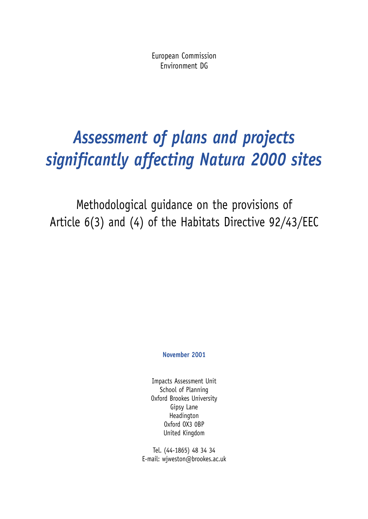European Commission Environment DG

# *Assessment of plans and projects significantly affecting Natura 2000 sites*

Methodological guidance on the provisions of Article 6(3) and (4) of the Habitats Directive 92/43/EEC

**November 2001**

Impacts Assessment Unit School of Planning Oxford Brookes University Gipsy Lane Headington Oxford OX3 0BP United Kingdom

Tel. (44-1865) 48 34 34 E-mail: wjweston@brookes.ac.uk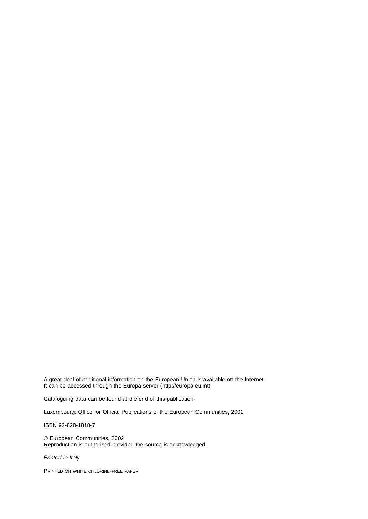A great deal of additional information on the European Union is available on the Internet. It can be accessed through the Europa server (http://europa.eu.int).

Cataloguing data can be found at the end of this publication.

Luxembourg: Office for Official Publications of the European Communities, 2002

ISBN 92-828-1818-7

© European Communities, 2002 Reproduction is authorised provided the source is acknowledged.

*Printed in Italy*

PRINTED ON WHITE CHLORINE-FREE PAPER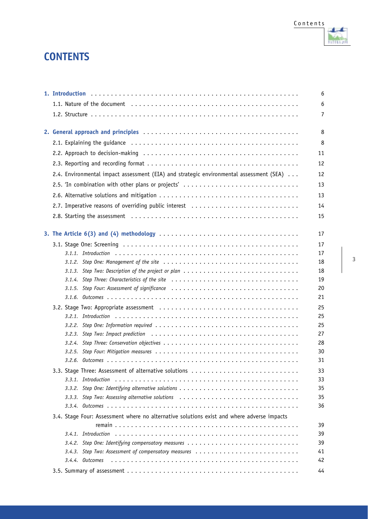# **CONTENTS**

|                                                                                                 | 6        |
|-------------------------------------------------------------------------------------------------|----------|
|                                                                                                 | 6        |
|                                                                                                 | 7        |
|                                                                                                 | 8        |
|                                                                                                 | 8        |
|                                                                                                 | 11       |
|                                                                                                 | 12       |
| 2.4. Environmental impact assessment (EIA) and strategic environmental assessment (SEA) $\dots$ | 12       |
| 2.5. 'In combination with other plans or projects'                                              | 13       |
|                                                                                                 | 13       |
| 2.7. Imperative reasons of overriding public interest                                           | 14       |
|                                                                                                 |          |
|                                                                                                 | 15       |
|                                                                                                 | 17       |
|                                                                                                 | 17       |
|                                                                                                 | 17       |
|                                                                                                 | 18       |
|                                                                                                 | 18       |
| 3.1.4. Step Three: Characteristics of the site                                                  | 19       |
| 3.1.5. Step Four: Assessment of significance                                                    | 20       |
|                                                                                                 | 21       |
|                                                                                                 | 25       |
|                                                                                                 | 25       |
|                                                                                                 | 25       |
|                                                                                                 | 27       |
|                                                                                                 | 28       |
|                                                                                                 | 30<br>31 |
|                                                                                                 |          |
| 3.3. Stage Three: Assessment of alternative solutions                                           | 33<br>33 |
|                                                                                                 | 35       |
| 3.3.3. Step Two: Assessing alternative solutions                                                | 35       |
|                                                                                                 | 36       |
| 3.4. Stage Four: Assessment where no alternative solutions exist and where adverse impacts      |          |
|                                                                                                 | 39       |
|                                                                                                 | 39       |
| 3.4.2. Step One: Identifying compensatory measures                                              | 39       |
| 3.4.3. Step Two: Assessment of compensatory measures                                            | 41       |
| 3.4.4. Outcomes                                                                                 | 42       |
|                                                                                                 | 44       |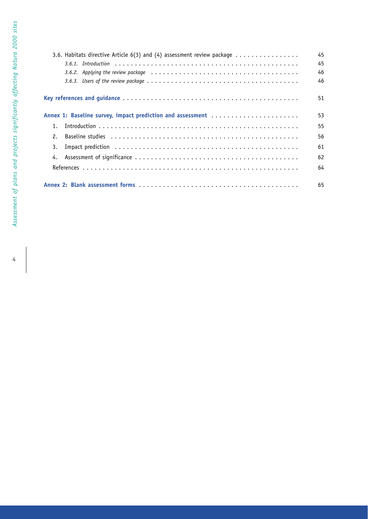| 3.6. Habitats directive Article 6(3) and (4) assessment review package                                                     | 45 |
|----------------------------------------------------------------------------------------------------------------------------|----|
|                                                                                                                            | 45 |
| 3.6.2. Applying the review package $\dots\dots\dots\dots\dots\dots\dots\dots\dots\dots\dots\dots\dots\dots\dots\dots\dots$ | 46 |
|                                                                                                                            | 46 |
|                                                                                                                            | 51 |
| Annex 1: Baseline survey, impact prediction and assessment                                                                 | 53 |
| $1_{\cdot}$                                                                                                                | 55 |
| 2.                                                                                                                         | 56 |
| 3.                                                                                                                         | 61 |
| 4.                                                                                                                         | 62 |
|                                                                                                                            | 64 |
|                                                                                                                            | 65 |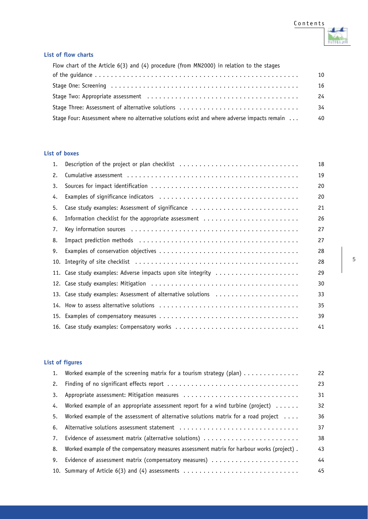

#### **List of flow charts**

| Flow chart of the Article $6(3)$ and $(4)$ procedure (from MN2000) in relation to the stages |    |
|----------------------------------------------------------------------------------------------|----|
|                                                                                              | 10 |
|                                                                                              | 16 |
|                                                                                              | 24 |
| Stage Three: Assessment of alternative solutions                                             | 34 |
| Stage Four: Assessment where no alternative solutions exist and where adverse impacts remain | 40 |

#### **List of boxes**

| 1.  | Description of the project or plan checklist                                                                   | 18 |
|-----|----------------------------------------------------------------------------------------------------------------|----|
| 2.  |                                                                                                                | 19 |
| 3.  |                                                                                                                | 20 |
| 4.  |                                                                                                                | 20 |
| 5.  | Case study examples: Assessment of significance                                                                | 21 |
| 6.  | Information checklist for the appropriate assessment                                                           | 26 |
| 7.  |                                                                                                                | 27 |
| 8.  | Impact prediction methods (a) and a series are series and series and series are series and the series of the s | 27 |
| 9.  |                                                                                                                | 28 |
| 10. |                                                                                                                | 28 |
|     | 11. Case study examples: Adverse impacts upon site integrity                                                   | 29 |
|     |                                                                                                                | 30 |
|     | 13. Case study examples: Assessment of alternative solutions                                                   | 33 |
|     |                                                                                                                | 35 |
|     |                                                                                                                | 39 |
|     | 16. Case study examples: Compensatory works                                                                    | 41 |

#### **List of figures**

|    | 1. Worked example of the screening matrix for a tourism strategy (plan)                     | 22 |
|----|---------------------------------------------------------------------------------------------|----|
| 2. |                                                                                             | 23 |
| 3. | Appropriate assessment: Mitigation measures                                                 | 31 |
| 4. | Worked example of an appropriate assessment report for a wind turbine (project) $\dots$     | 32 |
| 5. | Worked example of the assessment of alternative solutions matrix for a road project $\dots$ | 36 |
| 6. | Alternative solutions assessment statement                                                  | 37 |
| 7. | Evidence of assessment matrix (alternative solutions)                                       | 38 |
| 8. | Worked example of the compensatory measures assessment matrix for harbour works (project).  | 43 |
| 9. | Evidence of assessment matrix (compensatory measures)                                       | 44 |
|    | 10. Summary of Article 6(3) and (4) assessments                                             | 45 |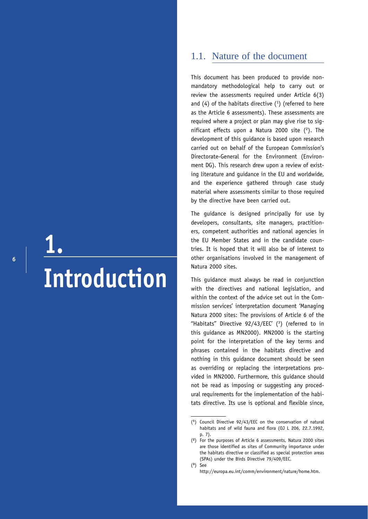**6**

# **1. Introduction**

# 1.1. Nature of the document

This document has been produced to provide nonmandatory methodological help to carry out or review the assessments required under Article 6(3) and (4) of the habitats directive  $(1)$  (referred to here as the Article 6 assessments). These assessments are required where a project or plan may give rise to significant effects upon a Natura 2000 site  $(2)$ . The development of this guidance is based upon research carried out on behalf of the European Commission's Directorate-General for the Environment (Environment DG). This research drew upon a review of existing literature and guidance in the EU and worldwide, and the experience gathered through case study material where assessments similar to those required by the directive have been carried out.

The guidance is designed principally for use by developers, consultants, site managers, practitioners, competent authorities and national agencies in the EU Member States and in the candidate countries. It is hoped that it will also be of interest to other organisations involved in the management of Natura 2000 sites.

This guidance must always be read in conjunction with the directives and national legislation, and within the context of the advice set out in the Commission services' interpretation document 'Managing Natura 2000 sites: The provisions of Article 6 of the ''Habitats'' Directive 92/43/EEC' (3 ) (referred to in this guidance as MN2000). MN2000 is the starting point for the interpretation of the key terms and phrases contained in the habitats directive and nothing in this guidance document should be seen as overriding or replacing the interpretations provided in MN2000. Furthermore, this guidance should not be read as imposing or suggesting any procedural requirements for the implementation of the habitats directive. Its use is optional and flexible since,

(**3**) See

<sup>(</sup>**<sup>1</sup>**) Council Directive 92/43/EEC on the conservation of natural habitats and of wild fauna and flora (OJ L 206, 22.7.1992, p. 7).

<sup>(</sup>**<sup>2</sup>**) For the purposes of Article 6 assessments, Natura 2000 sites are those identified as sites of Community importance under the habitats directive or classified as special protection areas (SPAs) under the Birds Directive 79/409/EEC.

http://europa.eu.int/comm/environment/nature/home.htm.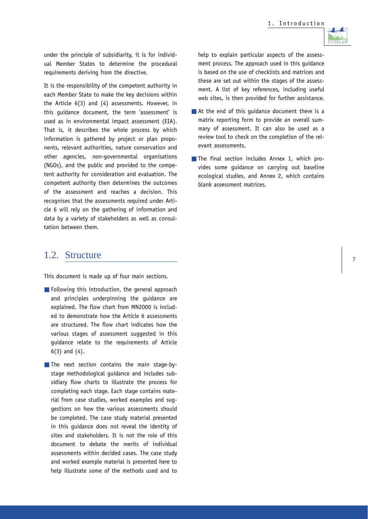

under the principle of subsidiarity, it is for individual Member States to determine the procedural requirements deriving from the directive.

It is the responsibility of the competent authority in each Member State to make the key decisions within the Article 6(3) and (4) assessments. However, in this guidance document, the term 'assessment' is used as in environmental impact assessment (EIA). That is, it describes the whole process by which information is gathered by project or plan proponents, relevant authorities, nature conservation and other agencies, non-governmental organisations (NGOs), and the public and provided to the competent authority for consideration and evaluation. The competent authority then determines the outcomes of the assessment and reaches a decision. This recognises that the assessments required under Article 6 will rely on the gathering of information and data by a variety of stakeholders as well as consultation between them.

### 1.2. Structure

This document is made up of four main sections.

■ Following this introduction, the general approach and principles underpinning the guidance are explained. The flow chart from MN2000 is included to demonstrate how the Article 6 assessments are structured. The flow chart indicates how the various stages of assessment suggested in this guidance relate to the requirements of Article 6(3) and (4).

■ The next section contains the main stage-bystage methodological guidance and includes subsidiary flow charts to illustrate the process for completing each stage. Each stage contains material from case studies, worked examples and suggestions on how the various assessments should be completed. The case study material presented in this guidance does not reveal the identity of sites and stakeholders. It is not the role of this document to debate the merits of individual assessments within decided cases. The case study and worked example material is presented here to help illustrate some of the methods used and to help to explain particular aspects of the assessment process. The approach used in this guidance is based on the use of checklists and matrices and these are set out within the stages of the assessment. A list of key references, including useful web sites, is then provided for further assistance.

- At the end of this quidance document there is a matrix reporting form to provide an overall summary of assessment. It can also be used as a review tool to check on the completion of the relevant assessments.
- The final section includes Annex 1, which provides some guidance on carrying out baseline ecological studies, and Annex 2, which contains blank assessment matrices.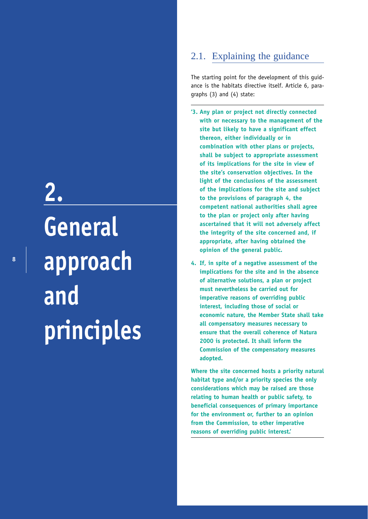# **2. General approach and principles**

# 2.1. Explaining the guidance

The starting point for the development of this guidance is the habitats directive itself. Article 6, paragraphs (3) and (4) state:

- **'3. Any plan or project not directly connected with or necessary to the management of the site but likely to have a significant effect thereon, either individually or in combination with other plans or projects, shall be subject to appropriate assessment of its implications for the site in view of the site's conservation objectives. In the light of the conclusions of the assessment of the implications for the site and subject to the provisions of paragraph 4, the competent national authorities shall agree to the plan or project only after having ascertained that it will not adversely affect the integrity of the site concerned and, if appropriate, after having obtained the opinion of the general public.**
- **4. If, in spite of a negative assessment of the implications for the site and in the absence of alternative solutions, a plan or project must nevertheless be carried out for imperative reasons of overriding public interest, including those of social or economic nature, the Member State shall take all compensatory measures necessary to ensure that the overall coherence of Natura 2000 is protected. It shall inform the Commission of the compensatory measures adopted.**

**Where the site concerned hosts a priority natural habitat type and/or a priority species the only considerations which may be raised are those relating to human health or public safety, to beneficial consequences of primary importance for the environment or, further to an opinion from the Commission, to other imperative reasons of overriding public interest.'**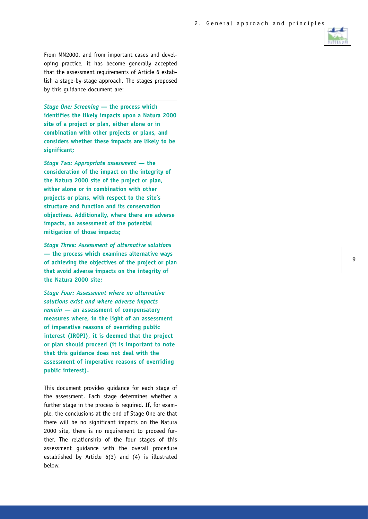From MN2000, and from important cases and developing practice, it has become generally accepted that the assessment requirements of Article 6 establish a stage-by-stage approach. The stages proposed by this guidance document are:

*Stage One: Screening* **— the process which identifies the likely impacts upon a Natura 2000 site of a project or plan, either alone or in combination with other projects or plans, and considers whether these impacts are likely to be significant;**

*Stage Two: Appropriate assessment* **— the consideration of the impact on the integrity of the Natura 2000 site of the project or plan, either alone or in combination with other projects or plans, with respect to the site's structure and function and its conservation objectives. Additionally, where there are adverse impacts, an assessment of the potential mitigation of those impacts;**

*Stage Three: Assessment of alternative solutions* **— the process which examines alternative ways of achieving the objectives of the project or plan that avoid adverse impacts on the integrity of the Natura 2000 site;**

*Stage Four: Assessment where no alternative solutions exist and where adverse impacts remain* **— an assessment of compensatory measures where, in the light of an assessment of imperative reasons of overriding public interest (IROPI), it is deemed that the project or plan should proceed (it is important to note that this guidance does not deal with the assessment of imperative reasons of overriding public interest).**

This document provides guidance for each stage of the assessment. Each stage determines whether a further stage in the process is required. If, for example, the conclusions at the end of Stage One are that there will be no significant impacts on the Natura 2000 site, there is no requirement to proceed further. The relationship of the four stages of this assessment guidance with the overall procedure established by Article 6(3) and (4) is illustrated below.

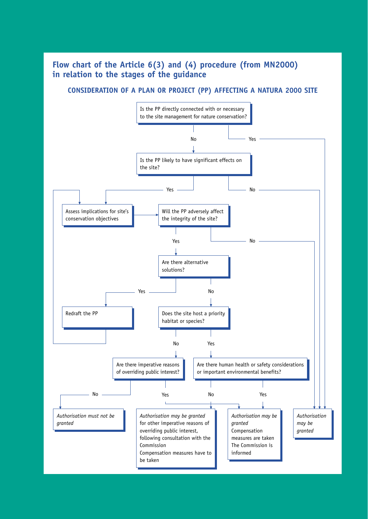# **Flow chart of the Article 6(3) and (4) procedure (from MN2000) in relation to the stages of the guidance**

#### **CONSIDERATION OF A PLAN OR PROJECT (PP) AFFECTING A NATURA 2000 SITE**

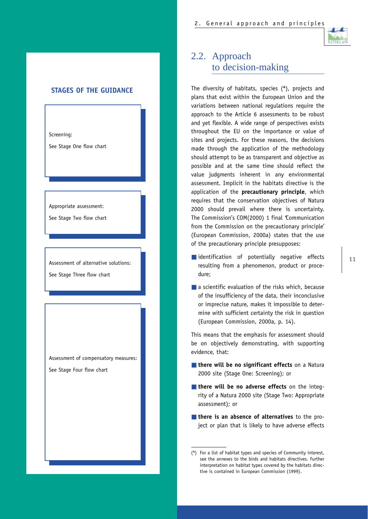

#### **STAGES OF THE GUIDANCE**

Screening:

See Stage One flow chart

Appropriate assessment:

See Stage Two flow chart

Assessment of alternative solutions: See Stage Three flow chart

Assessment of compensatory measures:

See Stage Four flow chart

# 2.2. Approach to decision-making

The diversity of habitats, species (**<sup>4</sup>**), projects and plans that exist within the European Union and the variations between national regulations require the approach to the Article 6 assessments to be robust and yet flexible. A wide range of perspectives exists throughout the EU on the importance or value of sites and projects. For these reasons, the decisions made through the application of the methodology should attempt to be as transparent and objective as possible and at the same time should reflect the value judgments inherent in any environmental assessment. Implicit in the habitats directive is the application of the **precautionary principle**, which requires that the conservation objectives of Natura 2000 should prevail where there is uncertainty. The Commission's COM(2000) 1 final *'*Communication from the Commission on the precautionary principle' (European Commission, 2000a) states that the use of the precautionary principle presupposes:

- identification of potentially negative effects resulting from a phenomenon, product or procedure;
- $\blacksquare$  a scientific evaluation of the risks which, because of the insufficiency of the data, their inconclusive or imprecise nature, makes it impossible to determine with sufficient certainty the risk in question (European Commission, 2000a, p. 14).

This means that the emphasis for assessment should be on objectively demonstrating, with supporting evidence, that:

- **there will be no significant effects** on a Natura 2000 site (Stage One: Screening); or
- **there will be no adverse effects** on the integrity of a Natura 2000 site (Stage Two: Appropriate assessment); or
- **there is an absence of alternatives** to the project or plan that is likely to have adverse effects

<sup>(</sup>**4**) For a list of habitat types and species of Community interest, see the annexes to the birds and habitats directives. Further interpretation on habitat types covered by the habitats directive is contained in European Commission (1999).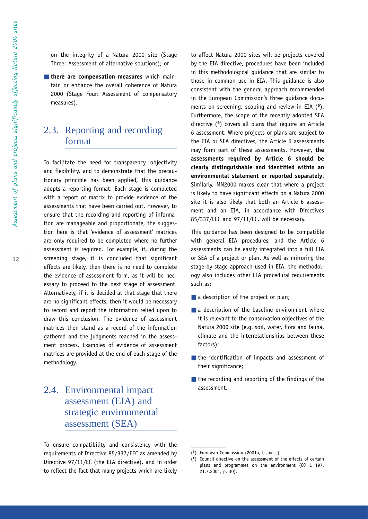on the integrity of a Natura 2000 site (Stage Three: Assessment of alternative solutions); or

■ **there are compensation measures** which maintain or enhance the overall coherence of Natura 2000 (Stage Four: Assessment of compensatory measures).

# 2.3. Reporting and recording format

To facilitate the need for transparency, objectivity and flexibility, and to demonstrate that the precautionary principle has been applied, this guidance adopts a reporting format. Each stage is completed with a report or matrix to provide evidence of the assessments that have been carried out. However, to ensure that the recording and reporting of information are manageable and proportionate, the suggestion here is that 'evidence of assessment' matrices are only required to be completed where no further assessment is required. For example, if, during the screening stage, it is concluded that significant effects are likely, then there is no need to complete the evidence of assessment form, as it will be necessary to proceed to the next stage of assessment. Alternatively, if it is decided at that stage that there are no significant effects, then it would be necessary to record and report the information relied upon to draw this conclusion. The evidence of assessment matrices then stand as a record of the information gathered and the judgments reached in the assessment process. Examples of evidence of assessment matrices are provided at the end of each stage of the methodology.

# 2.4. Environmental impact assessment (EIA) and strategic environmental assessment (SEA)

To ensure compatibility and consistency with the requirements of Directive 85/337/EEC as amended by Directive 97/11/EC (the EIA directive), and in order to reflect the fact that many projects which are likely to affect Natura 2000 sites will be projects covered by the EIA directive, procedures have been included in this methodological guidance that are similar to those in common use in EIA. This guidance is also consistent with the general approach recommended in the European Commission's three guidance documents on screening, scoping and review in EIA (**<sup>5</sup>**). Furthermore, the scope of the recently adopted SEA directive ( **<sup>6</sup>**) covers all plans that require an Article 6 assessment. Where projects or plans are subject to the EIA or SEA directives, the Article 6 assessments may form part of these assessments. However, **the assessments required by Article 6 should be clearly distinguishable and identified within an environmental statement or reported separately** . Similarly, MN2000 makes clear that where a project is likely to have significant effects on a Natura 2000 site it is also likely that both an Article 6 assessment and an EIA, in accordance with Directives 85/337/EEC and 97/11/EC, will be necessary.

This guidance has been designed to be compatible with general EIA procedures, and the Article 6 assessments can be easily integrated into a full EIA or SEA of a project or plan. As well as mirroring the stage-by-stage approach used in EIA, the methodology also includes other EIA procedural requirements such as:

- a description of the project or plan;
- a description of the baseline environment where it is relevant to the conservation objectives of the Natura 2000 site (e.g. soil, water, flora and fauna, climate and the interrelationships between these factors);
- the identification of impacts and assessment of their significance;
- the recording and reporting of the findings of the assessment.

<sup>(</sup> **<sup>5</sup>**) European Commission (2001a, b and c).

 $\overline{(\mathbf{6})}$ **<sup>6</sup>**) Council directive on the assessment of the effects of certain plans and programmes on the environment (OJ L 197, 21.7.2001, p. 30).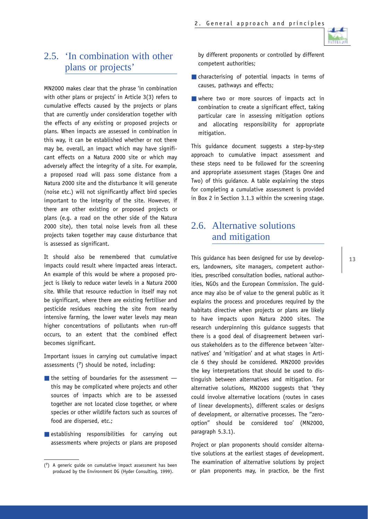

# 2.5. 'In combination with other plans or projects'

MN2000 makes clear that the phrase 'in combination with other plans or projects' in Article 3(3) refers to cumulative effects caused by the projects or plans that are currently under consideration together with the effects of any existing or proposed projects or plans. When impacts are assessed in combination in this way, it can be established whether or not there may be, overall, an impact which may have significant effects on a Natura 2000 site or which may adversely affect the integrity of a site. For example, a proposed road will pass some distance from a Natura 2000 site and the disturbance it will generate (noise etc.) will not significantly affect bird species important to the integrity of the site. However, if there are other existing or proposed projects or plans (e.g. a road on the other side of the Natura 2000 site), then total noise levels from all these projects taken together may cause disturbance that is assessed as significant.

It should also be remembered that cumulative impacts could result where impacted areas interact. An example of this would be where a proposed project is likely to reduce water levels in a Natura 2000 site. While that resource reduction in itself may not be significant, where there are existing fertiliser and pesticide residues reaching the site from nearby intensive farming, the lower water levels may mean higher concentrations of pollutants when run-off occurs, to an extent that the combined effect becomes significant.

Important issues in carrying out cumulative impact assessments (**<sup>7</sup>**) should be noted, including:

- $\blacksquare$  the setting of boundaries for the assessment  $\smash{\boldsymbol{-}}$ this may be complicated where projects and other sources of impacts which are to be assessed together are not located close together, or where species or other wildlife factors such as sources of food are dispersed, etc.;
- establishing responsibilities for carrying out assessments where projects or plans are proposed

by different proponents or controlled by different competent authorities;

- characterising of potential impacts in terms of causes, pathways and effects;
- where two or more sources of impacts act in combination to create a significant effect, taking particular care in assessing mitigation options and allocating responsibility for appropriate mitigation.

This guidance document suggests a step-by-step approach to cumulative impact assessment and these steps need to be followed for the screening and appropriate assessment stages (Stages One and Two) of this guidance. A table explaining the steps for completing a cumulative assessment is provided in Box 2 in Section 3.1.3 within the screening stage.

## 2.6. Alternative solutions and mitigation

This guidance has been designed for use by developers, landowners, site managers, competent authorities, prescribed consultation bodies, national authorities, NGOs and the European Commission. The guidance may also be of value to the general public as it explains the process and procedures required by the habitats directive when projects or plans are likely to have impacts upon Natura 2000 sites. The research underpinning this guidance suggests that there is a good deal of disagreement between various stakeholders as to the difference between 'alternatives' and 'mitigation' and at what stages in Article 6 they should be considered. MN2000 provides the key interpretations that should be used to distinguish between alternatives and mitigation. For alternative solutions, MN2000 suggests that 'they could involve alternative locations (routes in cases of linear developments), different scales or designs of development, or alternative processes. The ''zerooption'' should be considered too' (MN2000, paragraph 5.3.1).

Project or plan proponents should consider alternative solutions at the earliest stages of development. The examination of alternative solutions by project or plan proponents may, in practice, be the first

<sup>(</sup>**7**) A generic guide on cumulative impact assessment has been produced by the Environment DG (Hyder Consulting, 1999).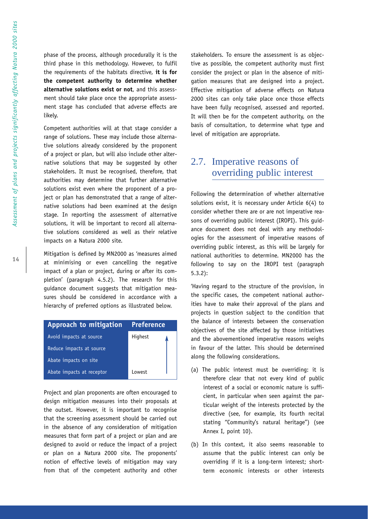phase of the process, although procedurally it is the third phase in this methodology. However, to fulfil the requirements of the habitats directive, **it is for the competent authority to determine whether alternative solutions exist or not**, and this assessment should take place once the appropriate assessment stage has concluded that adverse effects are likely.

Competent authorities will at that stage consider a range of solutions. These may include those alternative solutions already considered by the proponent of a project or plan, but will also include other alternative solutions that may be suggested by other stakeholders. It must be recognised, therefore, that authorities may determine that further alternative solutions exist even where the proponent of a project or plan has demonstrated that a range of alternative solutions had been examined at the design stage. In reporting the assessment of alternative solutions, it will be important to record all alternative solutions considered as well as their relative impacts on a Natura 2000 site.

Mitigation is defined by MN2000 as 'measures aimed at minimising or even cancelling the negative impact of a plan or project, during or after its completion' (paragraph 4.5.2). The research for this guidance document suggests that mitigation measures should be considered in accordance with a hierarchy of preferred options as illustrated below.



Project and plan proponents are often encouraged to design mitigation measures into their proposals at the outset. However, it is important to recognise that the screening assessment should be carried out in the absence of any consideration of mitigation measures that form part of a project or plan and are designed to avoid or reduce the impact of a project or plan on a Natura 2000 site. The proponents' notion of effective levels of mitigation may vary from that of the competent authority and other stakeholders. To ensure the assessment is as objective as possible, the competent authority must first consider the project or plan in the absence of mitigation measures that are designed into a project. Effective mitigation of adverse effects on Natura 2000 sites can only take place once those effects have been fully recognised, assessed and reported. It will then be for the competent authority, on the basis of consultation, to determine what type and level of mitigation are appropriate.

# 2.7. Imperative reasons of overriding public interest

Following the determination of whether alternative solutions exist, it is necessary under Article 6(4) to consider whether there are or are not imperative reasons of overriding public interest (IROPI). This guidance document does not deal with any methodologies for the assessment of imperative reasons of overriding public interest, as this will be largely for national authorities to determine. MN2000 has the following to say on the IROPI test (paragraph 5.3.2):

'Having regard to the structure of the provision, in the specific cases, the competent national authorities have to make their approval of the plans and projects in question subject to the condition that the balance of interests between the conservation objectives of the site affected by those initiatives and the abovementioned imperative reasons weighs in favour of the latter. This should be determined along the following considerations.

- (a) The public interest must be overriding: it is therefore clear that not every kind of public interest of a social or economic nature is sufficient, in particular when seen against the particular weight of the interests protected by the directive (see, for example, its fourth recital stating ''Community's natural heritage'') (see Annex I, point 10).
- (b) In this context, it also seems reasonable to assume that the public interest can only be overriding if it is a long-term interest; shortterm economic interests or other interests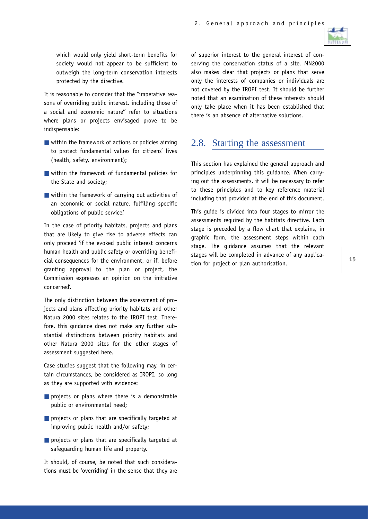

which would only yield short-term benefits for society would not appear to be sufficient to outweigh the long-term conservation interests protected by the directive.

It is reasonable to consider that the "imperative reasons of overriding public interest, including those of a social and economic nature'' refer to situations where plans or projects envisaged prove to be indispensable:

- $\blacksquare$  within the framework of actions or policies aiming to protect fundamental values for citizens' lives (health, safety, environment);
- within the framework of fundamental policies for the State and society;
- within the framework of carrying out activities of an economic or social nature, fulfilling specific obligations of public service.'

In the case of priority habitats, projects and plans that are likely to give rise to adverse effects can only proceed 'if the evoked public interest concerns human health and public safety or overriding beneficial consequences for the environment, or if, before granting approval to the plan or project, the Commission expresses an opinion on the initiative concerned'.

The only distinction between the assessment of projects and plans affecting priority habitats and other Natura 2000 sites relates to the IROPI test. Therefore, this guidance does not make any further substantial distinctions between priority habitats and other Natura 2000 sites for the other stages of assessment suggested here.

Case studies suggest that the following may, in certain circumstances, be considered as IROPI, so long as they are supported with evidence:

- projects or plans where there is a demonstrable public or environmental need;
- projects or plans that are specifically targeted at improving public health and/or safety;
- projects or plans that are specifically targeted at safeguarding human life and property.

It should, of course, be noted that such considerations must be 'overriding' in the sense that they are of superior interest to the general interest of conserving the conservation status of a site. MN2000 also makes clear that projects or plans that serve only the interests of companies or individuals are not covered by the IROPI test. It should be further noted that an examination of these interests should only take place when it has been established that there is an absence of alternative solutions.

### 2.8. Starting the assessment

This section has explained the general approach and principles underpinning this guidance. When carrying out the assessments, it will be necessary to refer to these principles and to key reference material including that provided at the end of this document.

This guide is divided into four stages to mirror the assessments required by the habitats directive. Each stage is preceded by a flow chart that explains, in graphic form, the assessment steps within each stage. The guidance assumes that the relevant stages will be completed in advance of any application for project or plan authorisation.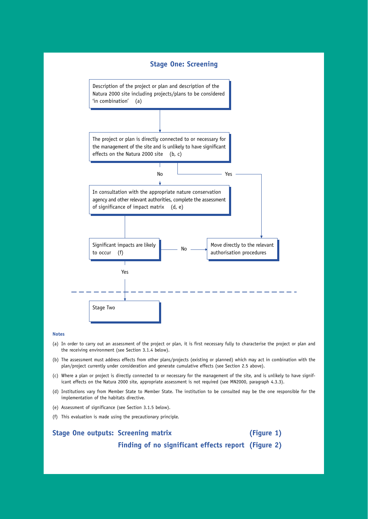

#### **Notes**

- (a) In order to carry out an assessment of the project or plan, it is first necessary fully to characterise the project or plan and the receiving environment (see Section 3.1.4 below).
- (b) The assessment must address effects from other plans/projects (existing or planned) which may act in combination with the plan/project currently under consideration and generate cumulative effects (see Section 2.5 above).
- (c) Where a plan or project is directly connected to or necessary for the management of the site, and is unlikely to have significant effects on the Natura 2000 site, appropriate assessment is not required (see MN2000, paragraph 4.3.3).
- (d) Institutions vary from Member State to Member State. The institution to be consulted may be the one responsible for the implementation of the habitats directive.
- (e) Assessment of significance (see Section 3.1.5 below).
- (f) This evaluation is made using the precautionary principle.

#### **Stage One outputs: Screening matrix (Figure 1)**

**Finding of no significant effects report (Figure 2)**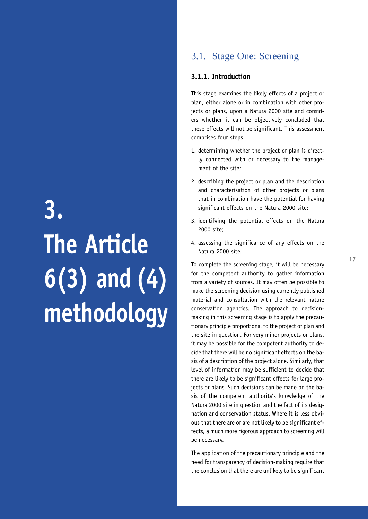# **3. The Article 6(3) and (4) methodology**

# 3.1. Stage One: Screening

#### **3.1.1. Introduction**

This stage examines the likely effects of a project or plan, either alone or in combination with other projects or plans, upon a Natura 2000 site and considers whether it can be objectively concluded that these effects will not be significant. This assessment comprises four steps:

- 1. determining whether the project or plan is directly connected with or necessary to the management of the site;
- 2. describing the project or plan and the description and characterisation of other projects or plans that in combination have the potential for having significant effects on the Natura 2000 site;
- 3. identifying the potential effects on the Natura 2000 site;
- 4. assessing the significance of any effects on the Natura 2000 site.

To complete the screening stage, it will be necessary for the competent authority to gather information from a variety of sources. It may often be possible to make the screening decision using currently published material and consultation with the relevant nature conservation agencies. The approach to decisionmaking in this screening stage is to apply the precautionary principle proportional to the project or plan and the site in question. For very minor projects or plans, it may be possible for the competent authority to decide that there will be no significant effects on the basis of a description of the project alone. Similarly, that level of information may be sufficient to decide that there are likely to be significant effects for large projects or plans. Such decisions can be made on the basis of the competent authority's knowledge of the Natura 2000 site in question and the fact of its designation and conservation status. Where it is less obvious that there are or are not likely to be significant effects, a much more rigorous approach to screening will be necessary.

The application of the precautionary principle and the need for transparency of decision-making require that the conclusion that there are unlikely to be significant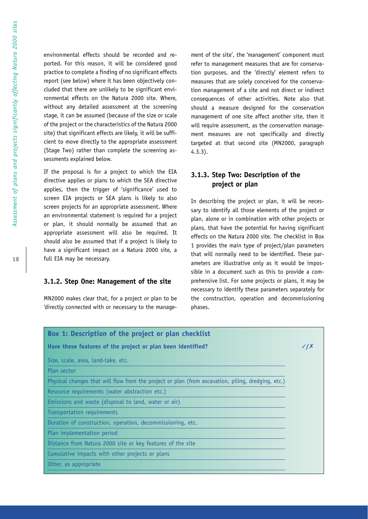environmental effects should be recorded and reported. For this reason, it will be considered good practice to complete a finding of no significant effects report (see below) where it has been objectively concluded that there are unlikely to be significant environmental effects on the Natura 2000 site. Where, without any detailed assessment at the screening stage, it can be assumed (because of the size or scale of the project or the characteristics of the Natura 2000 site) that significant effects are likely, it will be sufficient to move directly to the appropriate assessment (Stage Two) rather than complete the screening assessments explained below.

If the proposal is for a project to which the EIA directive applies or plans to which the SEA directive applies, then the trigger of 'significance' used to screen EIA projects or SEA plans is likely to also screen projects for an appropriate assessment. Where an environmental statement is required for a project or plan, it should normally be assumed that an appropriate assessment will also be required. It should also be assumed that if a project is likely to have a significant impact on a Natura 2000 site, a full EIA may be necessary.

#### **3.1.2. Step One: Management of the site**

MN2000 makes clear that, for a project or plan to be 'directly connected with or necessary to the management of the site', the 'management' component must refer to management measures that are for conservation purposes, and the 'directly' element refers to measures that are solely conceived for the conservation management of a site and not direct or indirect consequences of other activities. Note also that should a measure designed for the conservation management of one site affect another site, then it will require assessment, as the conservation management measures are not specifically and directly targeted at that second site (MN2000, paragraph 4.3.3).

#### **3.1.3. Step Two: Description of the project or plan**

In describing the project or plan, it will be necessary to identify all those elements of the project or plan, alone or in combination with other projects or plans, that have the potential for having significant effects on the Natura 2000 site. The checklist in Box 1 provides the main type of project/plan parameters that will normally need to be identified. These parameters are illustrative only as it would be impossible in a document such as this to provide a comprehensive list. For some projects or plans, it may be necessary to identify these parameters separately for the construction, operation and decommissioning phases.

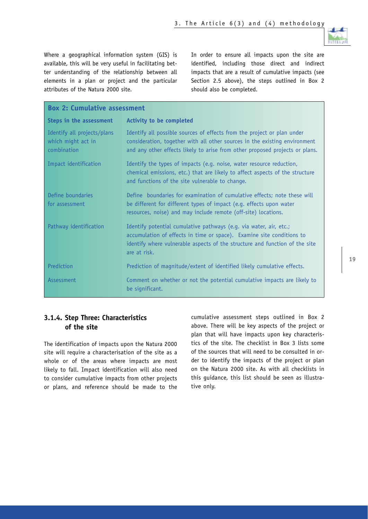

Where a geographical information system (GIS) is available, this will be very useful in facilitating better understanding of the relationship between all elements in a plan or project and the particular attributes of the Natura 2000 site.

In order to ensure all impacts upon the site are identified, including those direct and indirect impacts that are a result of cumulative impacts (see Section 2.5 above), the steps outlined in Box 2 should also be completed.

| <b>Box 2: Cumulative assessment</b>                              |                                                                                                                                                                                                                                            |
|------------------------------------------------------------------|--------------------------------------------------------------------------------------------------------------------------------------------------------------------------------------------------------------------------------------------|
| Steps in the assessment                                          | <b>Activity to be completed</b>                                                                                                                                                                                                            |
| Identify all projects/plans<br>which might act in<br>combination | Identify all possible sources of effects from the project or plan under<br>consideration, together with all other sources in the existing environment<br>and any other effects likely to arise from other proposed projects or plans.      |
| Impact identification                                            | Identify the types of impacts (e.g. noise, water resource reduction,<br>chemical emissions, etc.) that are likely to affect aspects of the structure<br>and functions of the site vulnerable to change.                                    |
| Define boundaries<br>for assessment                              | Define boundaries for examination of cumulative effects; note these will<br>be different for different types of impact (e.g. effects upon water<br>resources, noise) and may include remote (off-site) locations.                          |
| Pathway identification                                           | Identify potential cumulative pathways (e.g. via water, air, etc.;<br>accumulation of effects in time or space). Examine site conditions to<br>identify where vulnerable aspects of the structure and function of the site<br>are at risk. |
| Prediction                                                       | Prediction of magnitude/extent of identified likely cumulative effects.                                                                                                                                                                    |
| Assessment                                                       | Comment on whether or not the potential cumulative impacts are likely to<br>be significant.                                                                                                                                                |

#### **3.1.4. Step Three: Characteristics of the site**

The identification of impacts upon the Natura 2000 site will require a characterisation of the site as a whole or of the areas where impacts are most likely to fall. Impact identification will also need to consider cumulative impacts from other projects or plans, and reference should be made to the cumulative assessment steps outlined in Box 2 above. There will be key aspects of the project or plan that will have impacts upon key characteristics of the site. The checklist in Box 3 lists some of the sources that will need to be consulted in order to identify the impacts of the project or plan on the Natura 2000 site. As with all checklists in this guidance, this list should be seen as illustrative only.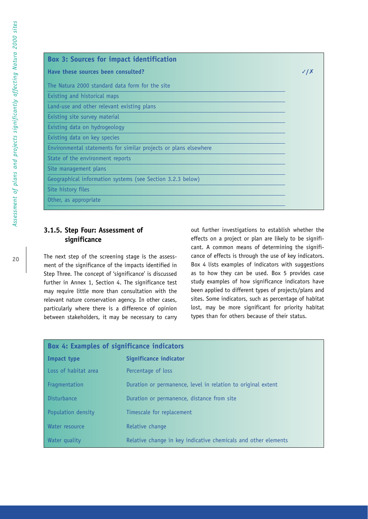## **Box 3: Sources for impact identification Have these sources been consulted?** ✓ **/** ✗ The Natura 2000 standard data form for the site Existing and historical maps Land-use and other relevant existing plans Existing site survey material Existing data on hydrogeology Existing data on key species Environmental statements for similar projects or plans elsewhere State of the environment reports Site management plans Geographical information systems (see Section 3.2.3 below) Site history files Other, as appropriate

#### **3.1.5. Step Four: Assessment of significance**

The next step of the screening stage is the assessment of the significance of the impacts identified in Step Three. The concept of 'significance' is discussed further in Annex 1, Section 4. The significance test may require little more than consultation with the relevant nature conservation agency. In other cases, particularly where there is a difference of opinion between stakeholders, it may be necessary to carry out further investigations to establish whether the effects on a project or plan are likely to be significant. A common means of determining the significance of effects is through the use of key indicators. Box 4 lists examples of indicators with suggestions as to how they can be used. Box 5 provides case study examples of how significance indicators have been applied to different types of projects/plans and sites. Some indicators, such as percentage of habitat lost, may be more significant for priority habitat types than for others because of their status.

| <b>Box 4: Examples of significance indicators</b> |                                                                |
|---------------------------------------------------|----------------------------------------------------------------|
| Impact type                                       | Significance indicator                                         |
| Loss of habitat area                              | Percentage of loss                                             |
| Fragmentation                                     | Duration or permanence, level in relation to original extent   |
| Disturbance                                       | Duration or permanence, distance from site                     |
| Population density                                | Timescale for replacement                                      |
| Water resource                                    | Relative change                                                |
| Water quality                                     | Relative change in key indicative chemicals and other elements |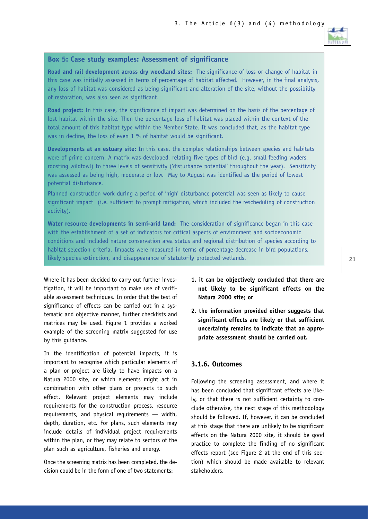

#### **Box 5: Case study examples: Assessment of significance**

**Road and rail development across dry woodland sites:** The significance of loss or change of habitat in this case was initially assessed in terms of percentage of habitat affected. However, in the final analysis, any loss of habitat was considered as being significant and alteration of the site, without the possibility of restoration, was also seen as significant.

**Road project:** In this case, the significance of impact was determined on the basis of the percentage of lost habitat within the site. Then the percentage loss of habitat was placed within the context of the total amount of this habitat type within the Member State. It was concluded that, as the habitat type was in decline, the loss of even 1 % of habitat would be significant.

**Developments at an estuary site:** In this case, the complex relationships between species and habitats were of prime concern. A matrix was developed, relating five types of bird (e.g. small feeding waders, roosting wildfowl) to three levels of sensitivity ('disturbance potential' throughout the year). Sensitivity was assessed as being high, moderate or low. May to August was identified as the period of lowest potential disturbance.

Planned construction work during a period of 'high' disturbance potential was seen as likely to cause significant impact (i.e. sufficient to prompt mitigation, which included the rescheduling of construction activity).

**Water resource developments in semi-arid land:** The consideration of significance began in this case with the establishment of a set of indicators for critical aspects of environment and socioeconomic conditions and included nature conservation area status and regional distribution of species according to habitat selection criteria. Impacts were measured in terms of percentage decrease in bird populations, likely species extinction, and disappearance of statutorily protected wetlands.

Where it has been decided to carry out further investigation, it will be important to make use of verifiable assessment techniques. In order that the test of significance of effects can be carried out in a systematic and objective manner, further checklists and matrices may be used. Figure 1 provides a worked example of the screening matrix suggested for use by this guidance.

In the identification of potential impacts, it is important to recognise which particular elements of a plan or project are likely to have impacts on a Natura 2000 site, or which elements might act in combination with other plans or projects to such effect. Relevant project elements may include requirements for the construction process, resource requirements, and physical requirements — width, depth, duration, etc. For plans, such elements may include details of individual project requirements within the plan, or they may relate to sectors of the plan such as agriculture, fisheries and energy.

Once the screening matrix has been completed, the decision could be in the form of one of two statements:

- **1. it can be objectively concluded that there are not likely to be significant effects on the Natura 2000 site; or**
- **2. the information provided either suggests that significant effects are likely or that sufficient uncertainty remains to indicate that an appropriate assessment should be carried out.**

#### **3.1.6. Outcomes**

Following the screening assessment, and where it has been concluded that significant effects are likely, or that there is not sufficient certainty to conclude otherwise, the next stage of this methodology should be followed. If, however, it can be concluded at this stage that there are unlikely to be significant effects on the Natura 2000 site, it should be good practice to complete the finding of no significant effects report (see Figure 2 at the end of this section) which should be made available to relevant stakeholders.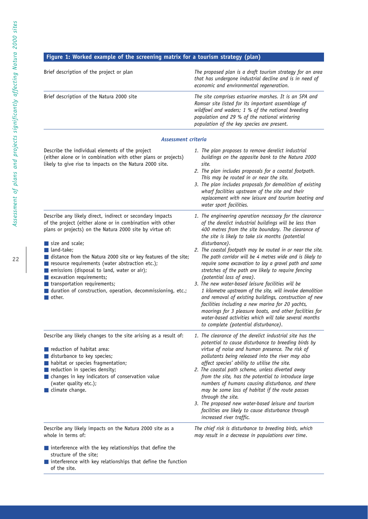### **Figure 1: Worked example of the screening matrix for a tourism strategy (plan)**

| Brief description of the project or plan                                                                                                                                                                                                                                                                                                                                                                                                                                                                                                                                   | The proposed plan is a draft tourism strategy for an area<br>that has undergone industrial decline and is in need of<br>economic and environmental regeneration.                                                                                                                                                                                                                                                                                                                                                                                                                                                                                                                                                                                                                                                                                                                                                  |
|----------------------------------------------------------------------------------------------------------------------------------------------------------------------------------------------------------------------------------------------------------------------------------------------------------------------------------------------------------------------------------------------------------------------------------------------------------------------------------------------------------------------------------------------------------------------------|-------------------------------------------------------------------------------------------------------------------------------------------------------------------------------------------------------------------------------------------------------------------------------------------------------------------------------------------------------------------------------------------------------------------------------------------------------------------------------------------------------------------------------------------------------------------------------------------------------------------------------------------------------------------------------------------------------------------------------------------------------------------------------------------------------------------------------------------------------------------------------------------------------------------|
| Brief description of the Natura 2000 site                                                                                                                                                                                                                                                                                                                                                                                                                                                                                                                                  | The site comprises estuarine marshes. It is an SPA and<br>Ramsar site listed for its important assemblage of<br>wildfowl and waders; 1 % of the national breeding<br>population and 29 % of the national wintering<br>population of the key species are present.                                                                                                                                                                                                                                                                                                                                                                                                                                                                                                                                                                                                                                                  |
| Assessment criteria                                                                                                                                                                                                                                                                                                                                                                                                                                                                                                                                                        |                                                                                                                                                                                                                                                                                                                                                                                                                                                                                                                                                                                                                                                                                                                                                                                                                                                                                                                   |
| Describe the individual elements of the project<br>(either alone or in combination with other plans or projects)<br>likely to give rise to impacts on the Natura 2000 site.                                                                                                                                                                                                                                                                                                                                                                                                | 1. The plan proposes to remove derelict industrial<br>buildings on the opposite bank to the Natura 2000<br>site.<br>2. The plan includes proposals for a coastal footpath.<br>This may be routed in or near the site.<br>3. The plan includes proposals for demolition of existing<br>wharf facilities upstream of the site and their<br>replacement with new leisure and tourism boating and<br>water sport facilities.                                                                                                                                                                                                                                                                                                                                                                                                                                                                                          |
| Describe any likely direct, indirect or secondary impacts<br>of the project (either alone or in combination with other<br>plans or projects) on the Natura 2000 site by virtue of:<br>$\blacksquare$ size and scale;<br><b>■</b> land-take;<br>distance from the Natura 2000 site or key features of the site;<br>resource requirements (water abstraction etc.);<br>■ emissions (disposal to land, water or air);<br>excavation requirements;<br>■ transportation requirements;<br>■ duration of construction, operation, decommissioning, etc.;<br>$\blacksquare$ other. | 1. The engineering operation necessary for the clearance<br>of the derelict industrial buildings will be less than<br>400 metres from the site boundary. The clearance of<br>the site is likely to take six months (potential<br>disturbance).<br>2. The coastal footpath may be routed in or near the site.<br>The path corridor will be 4 metres wide and is likely to<br>require some excavation to lay a gravel path and some<br>stretches of the path are likely to require fencing<br>(potential loss of area).<br>3. The new water-based leisure facilities will be<br>1 kilometre upstream of the site, will involve demolition<br>and removal of existing buildings, construction of new<br>facilities including a new marina for 20 yachts,<br>moorings for 3 pleasure boats, and other facilities for<br>water-based activities which will take several months<br>to complete (potential disturbance). |
| Describe any likely changes to the site arising as a result of:<br>reduction of habitat area:<br>disturbance to key species;<br>In habitat or species fragmentation;<br>reduction in species density;<br>changes in key indicators of conservation value<br>(water quality etc.);<br>climate change.                                                                                                                                                                                                                                                                       | 1. The clearance of the derelict industrial site has the<br>potential to cause disturbance to breeding birds by<br>virtue of noise and human presence. The risk of<br>pollutants being released into the river may also<br>affect species' ability to utilise the site.<br>2. The coastal path scheme, unless diverted away<br>from the site, has the potential to introduce large<br>numbers of humans causing disturbance, and there<br>may be some loss of habitat if the route passes<br>through the site.<br>3. The proposed new water-based leisure and tourism<br>facilities are likely to cause disturbance through<br>increased river traffic.                                                                                                                                                                                                                                                           |
| Describe any likely impacts on the Natura 2000 site as a<br>whole in terms of:<br>$\blacksquare$ interference with the key relationships that define the                                                                                                                                                                                                                                                                                                                                                                                                                   | The chief risk is disturbance to breeding birds, which<br>may result in a decrease in populations over time.                                                                                                                                                                                                                                                                                                                                                                                                                                                                                                                                                                                                                                                                                                                                                                                                      |
| structure of the site;<br>Interference with key relationships that define the function<br>of the site.                                                                                                                                                                                                                                                                                                                                                                                                                                                                     |                                                                                                                                                                                                                                                                                                                                                                                                                                                                                                                                                                                                                                                                                                                                                                                                                                                                                                                   |

**22**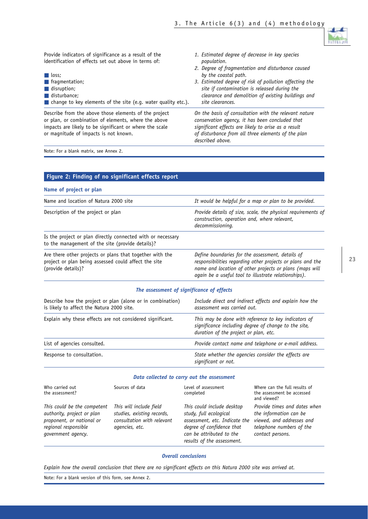

| Provide indicators of significance as a result of the<br>identification of effects set out above in terms of:<br>$\blacksquare$ loss;<br>$\blacksquare$ fragmentation;<br>$\blacksquare$ disruption;<br>$\blacksquare$ disturbance;<br>$\blacksquare$ change to key elements of the site (e.g. water quality etc.). | 1. Estimated degree of decrease in key species<br>population.<br>2. Degree of fragmentation and disturbance caused<br>by the coastal path.<br>3. Estimated degree of risk of pollution affecting the<br>site if contamination is released during the<br>clearance and demolition of existing buildings and<br>site clearances. |
|---------------------------------------------------------------------------------------------------------------------------------------------------------------------------------------------------------------------------------------------------------------------------------------------------------------------|--------------------------------------------------------------------------------------------------------------------------------------------------------------------------------------------------------------------------------------------------------------------------------------------------------------------------------|
| Describe from the above those elements of the project<br>or plan, or combination of elements, where the above<br>impacts are likely to be significant or where the scale<br>or magnitude of impacts is not known.                                                                                                   | On the basis of consultation with the relevant nature<br>conservation agency, it has been concluded that<br>significant effects are likely to arise as a result<br>of disturbance from all three elements of the plan<br>described above.                                                                                      |

Note: For a blank matrix, see Annex 2.

|                                                                                                                                        | Figure 2: Finding of no significant effects report                                                    |                                                                                                                                                                              |                                                                                                                                     |
|----------------------------------------------------------------------------------------------------------------------------------------|-------------------------------------------------------------------------------------------------------|------------------------------------------------------------------------------------------------------------------------------------------------------------------------------|-------------------------------------------------------------------------------------------------------------------------------------|
| Name of project or plan                                                                                                                |                                                                                                       |                                                                                                                                                                              |                                                                                                                                     |
| Name and location of Natura 2000 site                                                                                                  |                                                                                                       |                                                                                                                                                                              | It would be helpful for a map or plan to be provided.                                                                               |
| Description of the project or plan                                                                                                     |                                                                                                       | construction, operation and, where relevant,<br>decommissioning.                                                                                                             | Provide details of size, scale, the physical requirements of                                                                        |
| to the management of the site (provide details)?                                                                                       | Is the project or plan directly connected with or necessary                                           |                                                                                                                                                                              |                                                                                                                                     |
| Are there other projects or plans that together with the<br>project or plan being assessed could affect the site<br>(provide details)? |                                                                                                       | Define boundaries for the assessment, details of<br>again be a useful tool to illustrate relationships).                                                                     | responsibilities regarding other projects or plans and the<br>name and location of other projects or plans (maps will               |
|                                                                                                                                        |                                                                                                       | The assessment of significance of effects                                                                                                                                    |                                                                                                                                     |
| is likely to affect the Natura 2000 site.                                                                                              | Describe how the project or plan (alone or in combination)                                            | assessment was carried out.                                                                                                                                                  | Include direct and indirect effects and explain how the                                                                             |
| Explain why these effects are not considered significant.                                                                              |                                                                                                       | duration of the project or plan, etc.                                                                                                                                        | This may be done with reference to key indicators of<br>significance including degree of change to the site,                        |
| List of agencies consulted.                                                                                                            |                                                                                                       |                                                                                                                                                                              | Provide contact name and telephone or e-mail address.                                                                               |
| Response to consultation.                                                                                                              |                                                                                                       | significant or not.                                                                                                                                                          | State whether the agencies consider the effects are                                                                                 |
|                                                                                                                                        |                                                                                                       | Data collected to carry out the assessment                                                                                                                                   |                                                                                                                                     |
| Who carried out<br>the assessment?                                                                                                     | Sources of data                                                                                       | Level of assessment<br>completed                                                                                                                                             | Where can the full results of<br>the assessment be accessed<br>and viewed?                                                          |
| This could be the competent<br>authority, project or plan<br>proponent, or national or<br>regional responsible<br>government agency.   | This will include field<br>studies, existing records,<br>consultation with relevant<br>agencies, etc. | This could include desktop<br>study, full ecological<br>assessment, etc. Indicate the<br>degree of confidence that<br>can be attributed to the<br>results of the assessment. | Provide times and dates when<br>the information can be<br>viewed, and addresses and<br>telephone numbers of the<br>contact persons. |

*Overall conclusions*

*Explain how the overall conclusion that there are no significant effects on this Natura 2000 site was arrived at.*

Note: For a blank version of this form, see Annex 2.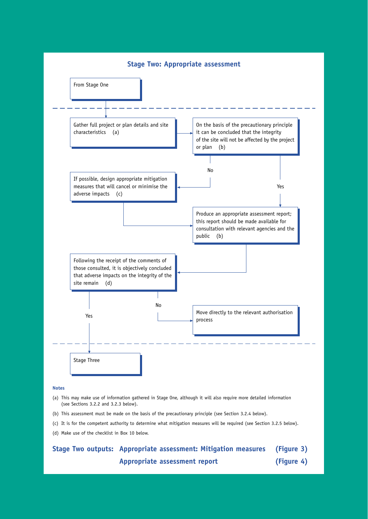

#### **Notes**

- (a) This may make use of information gathered in Stage One, although it will also require more detailed information (see Sections 3.2.2 and 3.2.3 below).
- (b) This assessment must be made on the basis of the precautionary principle (see Section 3.2.4 below).
- (c) It is for the competent authority to determine what mitigation measures will be required (see Section 3.2.5 below).
- (d) Make use of the checklist in Box 10 below.

# **Stage Two outputs: Appropriate assessment: Mitigation measures (Figure 3) Appropriate assessment report (Figure 4)**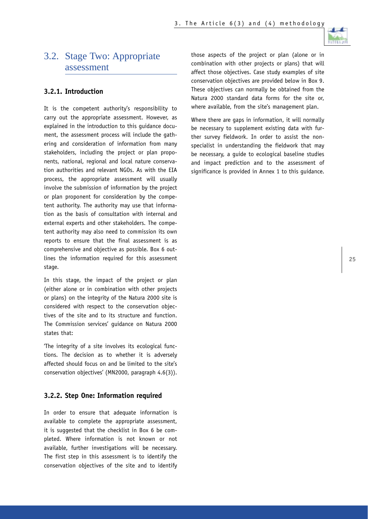

# 3.2. Stage Two: Appropriate assessment

#### **3.2.1. Introduction**

It is the competent authority's responsibility to carry out the appropriate assessment. However, as explained in the introduction to this guidance document, the assessment process will include the gathering and consideration of information from many stakeholders, including the project or plan proponents, national, regional and local nature conservation authorities and relevant NGOs. As with the EIA process, the appropriate assessment will usually involve the submission of information by the project or plan proponent for consideration by the competent authority. The authority may use that information as the basis of consultation with internal and external experts and other stakeholders. The competent authority may also need to commission its own reports to ensure that the final assessment is as comprehensive and objective as possible. Box 6 outlines the information required for this assessment stage.

In this stage, the impact of the project or plan (either alone or in combination with other projects or plans) on the integrity of the Natura 2000 site is considered with respect to the conservation objectives of the site and to its structure and function. The Commission services' guidance on Natura 2000 states that:

'The integrity of a site involves its ecological functions. The decision as to whether it is adversely affected should focus on and be limited to the site's conservation objectives' (MN2000, paragraph 4.6(3)).

#### **3.2.2. Step One: Information required**

In order to ensure that adequate information is available to complete the appropriate assessment, it is suggested that the checklist in Box 6 be completed. Where information is not known or not available, further investigations will be necessary. The first step in this assessment is to identify the conservation objectives of the site and to identify those aspects of the project or plan (alone or in combination with other projects or plans) that will affect those objectives. Case study examples of site conservation objectives are provided below in Box 9. These objectives can normally be obtained from the Natura 2000 standard data forms for the site or, where available, from the site's management plan.

Where there are gaps in information, it will normally be necessary to supplement existing data with further survey fieldwork. In order to assist the nonspecialist in understanding the fieldwork that may be necessary, a guide to ecological baseline studies and impact prediction and to the assessment of significance is provided in Annex 1 to this guidance.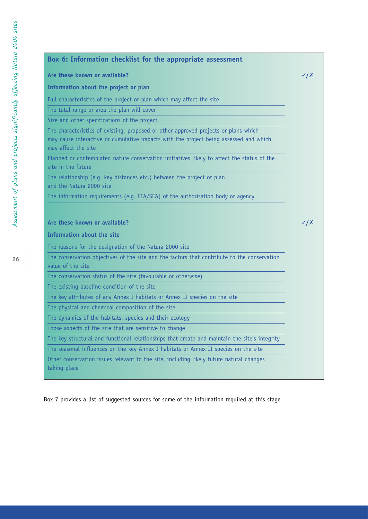| Are these known or available?                                                                                                                                                                       | $\checkmark$ / $\checkmark$ |
|-----------------------------------------------------------------------------------------------------------------------------------------------------------------------------------------------------|-----------------------------|
| Information about the project or plan                                                                                                                                                               |                             |
| Full characteristics of the project or plan which may affect the site                                                                                                                               |                             |
| The total range or area the plan will cover                                                                                                                                                         |                             |
| Size and other specifications of the project                                                                                                                                                        |                             |
| The characteristics of existing, proposed or other approved projects or plans which<br>may cause interactive or cumulative impacts with the project being assessed and which<br>may affect the site |                             |
| Planned or contemplated nature conservation initiatives likely to affect the status of the<br>site in the future                                                                                    |                             |
| The relationship (e.g. key distances etc.) between the project or plan                                                                                                                              |                             |
| and the Natura 2000 site                                                                                                                                                                            |                             |
| The information requirements (e.g. EIA/SEA) of the authorisation body or agency<br>Are these known or available?                                                                                    |                             |
| Information about the site                                                                                                                                                                          |                             |
| The reasons for the designation of the Natura 2000 site                                                                                                                                             |                             |
| The conservation objectives of the site and the factors that contribute to the conservation<br>value of the site                                                                                    |                             |
| The conservation status of the site (favourable or otherwise)                                                                                                                                       |                             |
| The existing baseline condition of the site                                                                                                                                                         |                             |
| The key attributes of any Annex I habitats or Annex II species on the site                                                                                                                          | $\sqrt{X}$                  |
| The physical and chemical composition of the site                                                                                                                                                   |                             |
| The dynamics of the habitats, species and their ecology                                                                                                                                             |                             |
| Those aspects of the site that are sensitive to change                                                                                                                                              |                             |
| The key structural and functional relationships that create and maintain the site's integrity                                                                                                       |                             |

Box 7 provides a list of suggested sources for some of the information required at this stage.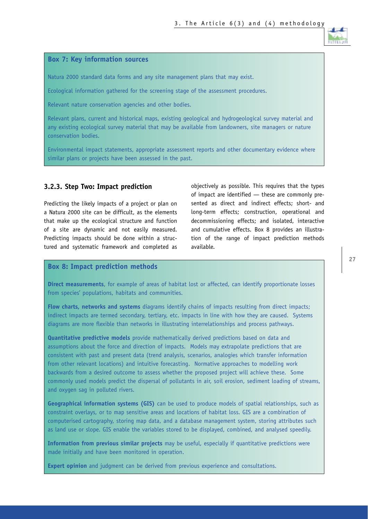

#### **Box 7: Key information sources**

Natura 2000 standard data forms and any site management plans that may exist.

Ecological information gathered for the screening stage of the assessment procedures.

Relevant nature conservation agencies and other bodies.

Relevant plans, current and historical maps, existing geological and hydrogeological survey material and any existing ecological survey material that may be available from landowners, site managers or nature conservation bodies.

Environmental impact statements, appropriate assessment reports and other documentary evidence where similar plans or projects have been assessed in the past.

#### **3.2.3. Step Two: Impact prediction**

Predicting the likely impacts of a project or plan on a Natura 2000 site can be difficult, as the elements that make up the ecological structure and function of a site are dynamic and not easily measured. Predicting impacts should be done within a structured and systematic framework and completed as

objectively as possible. This requires that the types of impact are identified — these are commonly presented as direct and indirect effects; short- and long-term effects; construction, operational and decommissioning effects; and isolated, interactive and cumulative effects. Box 8 provides an illustration of the range of impact prediction methods available.

#### **Box 8: Impact prediction methods**

**Direct measurements**, for example of areas of habitat lost or affected, can identify proportionate losses from species' populations, habitats and communities.

**Flow charts, networks and systems** diagrams identify chains of impacts resulting from direct impacts; indirect impacts are termed secondary, tertiary, etc. impacts in line with how they are caused. Systems diagrams are more flexible than networks in illustrating interrelationships and process pathways.

**Quantitative predictive models** provide mathematically derived predictions based on data and assumptions about the force and direction of impacts. Models may extrapolate predictions that are consistent with past and present data (trend analysis, scenarios, analogies which transfer information from other relevant locations) and intuitive forecasting. Normative approaches to modelling work backwards from a desired outcome to assess whether the proposed project will achieve these. Some commonly used models predict the dispersal of pollutants in air, soil erosion, sediment loading of streams, and oxygen sag in polluted rivers.

**Geographical information systems (GIS)** can be used to produce models of spatial relationships, such as constraint overlays, or to map sensitive areas and locations of habitat loss. GIS are a combination of computerised cartography, storing map data, and a database management system, storing attributes such as land use or slope. GIS enable the variables stored to be displayed, combined, and analysed speedily.

**Information from previous similar projects** may be useful, especially if quantitative predictions were made initially and have been monitored in operation.

**Expert opinion** and judgment can be derived from previous experience and consultations.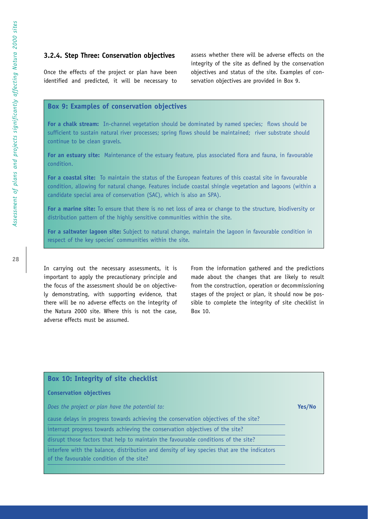#### **3.2.4. Step Three: Conservation objectives**

Once the effects of the project or plan have been identified and predicted, it will be necessary to assess whether there will be adverse effects on the integrity of the site as defined by the conservation objectives and status of the site. Examples of conservation objectives are provided in Box 9.

#### **Box 9: Examples of conservation objectives**

**For a chalk stream:** In-channel vegetation should be dominated by named species; flows should be sufficient to sustain natural river processes; spring flows should be maintained; river substrate should continue to be clean gravels.

**For an estuary site:** Maintenance of the estuary feature, plus associated flora and fauna, in favourable condition.

**For a coastal site:** To maintain the status of the European features of this coastal site in favourable condition, allowing for natural change. Features include coastal shingle vegetation and lagoons (within a candidate special area of conservation (SAC), which is also an SPA).

**For a marine site:** To ensure that there is no net loss of area or change to the structure, biodiversity or distribution pattern of the highly sensitive communities within the site.

**For a saltwater lagoon site:** Subject to natural change, maintain the lagoon in favourable condition in respect of the key species' communities within the site.

In carrying out the necessary assessments, it is important to apply the precautionary principle and the focus of the assessment should be on objectively demonstrating, with supporting evidence, that there will be no adverse effects on the integrity of the Natura 2000 site. Where this is not the case, adverse effects must be assumed.

From the information gathered and the predictions made about the changes that are likely to result from the construction, operation or decommissioning stages of the project or plan, it should now be possible to complete the integrity of site checklist in Box 10.

| Box 10: Integrity of site checklist                                                         |        |
|---------------------------------------------------------------------------------------------|--------|
| <b>Conservation objectives</b>                                                              |        |
| Does the project or plan have the potential to:                                             | Yes/No |
| cause delays in progress towards achieving the conservation objectives of the site?         |        |
| interrupt progress towards achieving the conservation objectives of the site?               |        |
| disrupt those factors that help to maintain the favourable conditions of the site?          |        |
| interfere with the balance, distribution and density of key species that are the indicators |        |
| of the favourable condition of the site?                                                    |        |
|                                                                                             |        |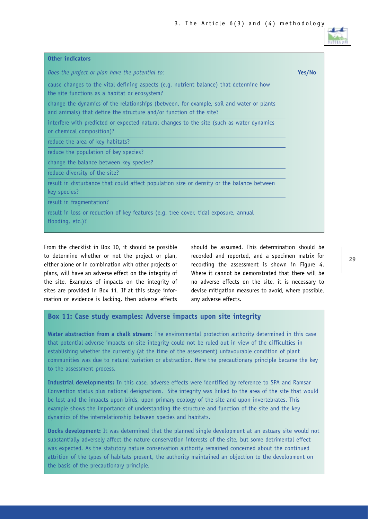

| <b>Other indicators</b>                                                                                                                                         |        |
|-----------------------------------------------------------------------------------------------------------------------------------------------------------------|--------|
| Does the project or plan have the potential to:                                                                                                                 | Yes/No |
| cause changes to the vital defining aspects (e.g. nutrient balance) that determine how<br>the site functions as a habitat or ecosystem?                         |        |
| change the dynamics of the relationships (between, for example, soil and water or plants<br>and animals) that define the structure and/or function of the site? |        |
| interfere with predicted or expected natural changes to the site (such as water dynamics<br>or chemical composition)?                                           |        |
| reduce the area of key habitats?                                                                                                                                |        |
| reduce the population of key species?                                                                                                                           |        |
| change the balance between key species?                                                                                                                         |        |
| reduce diversity of the site?                                                                                                                                   |        |
| result in disturbance that could affect population size or density or the balance between<br>key species?                                                       |        |
| result in fragmentation?                                                                                                                                        |        |
| result in loss or reduction of key features (e.g. tree cover, tidal exposure, annual<br>flooding, etc.)?                                                        |        |

From the checklist in Box 10, it should be possible to determine whether or not the project or plan, either alone or in combination with other projects or plans, will have an adverse effect on the integrity of the site. Examples of impacts on the integrity of sites are provided in Box 11. If at this stage information or evidence is lacking, then adverse effects should be assumed. This determination should be recorded and reported, and a specimen matrix for recording the assessment is shown in Figure 4. Where it cannot be demonstrated that there will be no adverse effects on the site, it is necessary to devise mitigation measures to avoid, where possible, any adverse effects.

#### **Box 11: Case study examples: Adverse impacts upon site integrity**

**Water abstraction from a chalk stream:** The environmental protection authority determined in this case that potential adverse impacts on site integrity could not be ruled out in view of the difficulties in establishing whether the currently (at the time of the assessment) unfavourable condition of plant communities was due to natural variation or abstraction. Here the precautionary principle became the key to the assessment process.

**Industrial developments:** In this case, adverse effects were identified by reference to SPA and Ramsar Convention status plus national designations. Site integrity was linked to the area of the site that would be lost and the impacts upon birds, upon primary ecology of the site and upon invertebrates. This example shows the importance of understanding the structure and function of the site and the key dynamics of the interrelationship between species and habitats.

**Docks development:** It was determined that the planned single development at an estuary site would not substantially adversely affect the nature conservation interests of the site, but some detrimental effect was expected. As the statutory nature conservation authority remained concerned about the continued attrition of the types of habitats present, the authority maintained an objection to the development on the basis of the precautionary principle.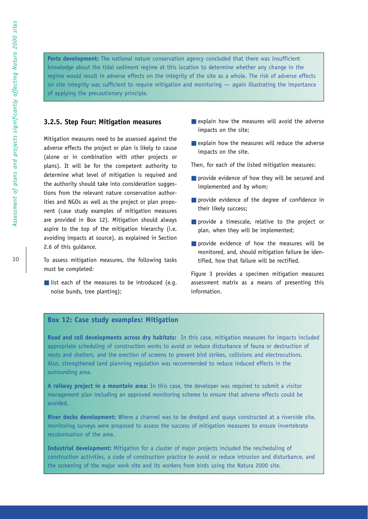**Ports development:** The national nature conservation agency concluded that there was insufficient knowledge about the tidal sediment regime at this location to determine whether any change in the regime would result in adverse effects on the integrity of the site as a whole. The risk of adverse effects on site integrity was sufficient to require mitigation and monitoring — again illustrating the importance of applying the precautionary principle.

#### **3.2.5. Step Four: Mitigation measures**

Mitigation measures need to be assessed against the adverse effects the project or plan is likely to cause (alone or in combination with other projects or plans). It will be for the competent authority to determine what level of mitigation is required and the authority should take into consideration suggestions from the relevant nature conservation authorities and NGOs as well as the project or plan proponent (case study examples of mitigation measures are provided in Box 12). Mitigation should always aspire to the top of the mitigation hierarchy (i.e. avoiding impacts at source), as explained in Section 2.6 of this guidance.

To assess mitigation measures, the following tasks must be completed:

■ list each of the measures to be introduced (e.g. noise bunds, tree planting);

- $\blacksquare$  explain how the measures will avoid the adverse impacts on the site;
- explain how the measures will reduce the adverse impacts on the site.

Then, for each of the listed mitigation measures:

- provide evidence of how they will be secured and implemented and by whom;
- provide evidence of the degree of confidence in their likely success;
- provide a timescale, relative to the project or plan, when they will be implemented;
- provide evidence of how the measures will be monitored, and, should mitigation failure be identified, how that failure will be rectified.

Figure 3 provides a specimen mitigation measures assessment matrix as a means of presenting this information.

#### **Box 12: Case study examples: Mitigation**

**Road and rail developments across dry habitats:** In this case, mitigation measures for impacts included appropriate scheduling of construction works to avoid or reduce disturbance of fauna or destruction of nests and shelters, and the erection of screens to prevent bird strikes, collisions and electrocutions. Also, strengthened land planning regulation was recommended to reduce induced effects in the surrounding area.

**A railway project in a mountain area:** In this case, the developer was required to submit a visitor management plan including an approved monitoring scheme to ensure that adverse effects could be avoided.

**River docks development:** Where a channel was to be dredged and quays constructed at a riverside site, monitoring surveys were proposed to assess the success of mitigation measures to ensure invertebrate recolonisation of the area.

**Industrial development:** Mitigation for a cluster of major projects included the rescheduling of construction activities, a code of construction practice to avoid or reduce intrusion and disturbance, and the screening of the major work site and its workers from birds using the Natura 2000 site.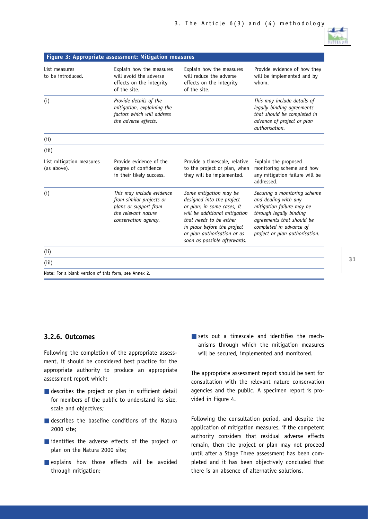

|                                                      | Figure 3: Appropriate assessment: Mitigation measures                                                                         |                                                                                                                                                                                                                                             |                                                                                                                                                                                                        |
|------------------------------------------------------|-------------------------------------------------------------------------------------------------------------------------------|---------------------------------------------------------------------------------------------------------------------------------------------------------------------------------------------------------------------------------------------|--------------------------------------------------------------------------------------------------------------------------------------------------------------------------------------------------------|
| List measures<br>to be introduced.                   | Explain how the measures<br>will avoid the adverse<br>effects on the integrity<br>of the site.                                | Explain how the measures<br>will reduce the adverse<br>effects on the integrity<br>of the site.                                                                                                                                             | Provide evidence of how they<br>will be implemented and by<br>whom.                                                                                                                                    |
| (i)                                                  | Provide details of the<br>mitigation, explaining the<br>factors which will address<br>the adverse effects.                    |                                                                                                                                                                                                                                             | This may include details of<br>legally binding agreements<br>that should be completed in<br>advance of project or plan<br>authorisation.                                                               |
| (i)                                                  |                                                                                                                               |                                                                                                                                                                                                                                             |                                                                                                                                                                                                        |
| (iii)                                                |                                                                                                                               |                                                                                                                                                                                                                                             |                                                                                                                                                                                                        |
| List mitigation measures<br>(as above).              | Provide evidence of the<br>degree of confidence<br>in their likely success.                                                   | Provide a timescale, relative<br>to the project or plan, when<br>they will be implemented.                                                                                                                                                  | Explain the proposed<br>monitoring scheme and how<br>any mitigation failure will be<br>addressed.                                                                                                      |
| (i)                                                  | This may include evidence<br>from similar projects or<br>plans or support from<br>the relevant nature<br>conservation agency. | Some mitigation may be<br>designed into the project<br>or plan; in some cases, it<br>will be additional mitigation<br>that needs to be either<br>in place before the project<br>or plan authorisation or as<br>soon as possible afterwards. | Securing a monitoring scheme<br>and dealing with any<br>mitigation failure may be<br>through legally binding<br>agreements that should be<br>completed in advance of<br>project or plan authorisation. |
| (i)                                                  |                                                                                                                               |                                                                                                                                                                                                                                             |                                                                                                                                                                                                        |
| (iii)                                                |                                                                                                                               |                                                                                                                                                                                                                                             |                                                                                                                                                                                                        |
| Note: For a blank version of this form, see Annex 2. |                                                                                                                               |                                                                                                                                                                                                                                             |                                                                                                                                                                                                        |

#### **3.2.6. Outcomes**

Following the completion of the appropriate assessment, it should be considered best practice for the appropriate authority to produce an appropriate assessment report which:

- describes the project or plan in sufficient detail for members of the public to understand its size, scale and objectives;
- describes the baseline conditions of the Natura 2000 site;
- identifies the adverse effects of the project or plan on the Natura 2000 site;
- explains how those effects will be avoided through mitigation;

■ sets out a timescale and identifies the mechanisms through which the mitigation measures will be secured, implemented and monitored.

The appropriate assessment report should be sent for consultation with the relevant nature conservation agencies and the public. A specimen report is provided in Figure 4.

Following the consultation period, and despite the application of mitigation measures, if the competent authority considers that residual adverse effects remain, then the project or plan may not proceed until after a Stage Three assessment has been completed and it has been objectively concluded that there is an absence of alternative solutions.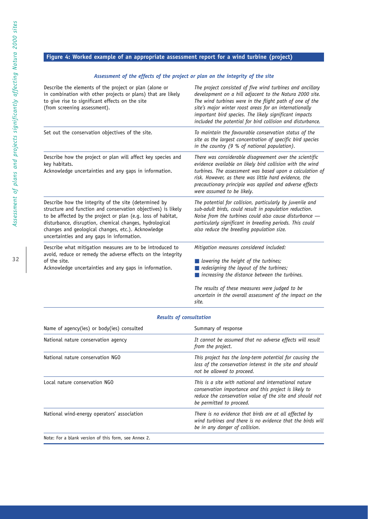#### **Figure 4: Worked example of an appropriate assessment report for a wind turbine (project)**

#### *Assessment of the effects of the project or plan on the integrity of the site*

| Describe the elements of the project or plan (alone or<br>in combination with other projects or plans) that are likely<br>to give rise to significant effects on the site<br>(from screening assessment).                                                                                                                                             | The project consisted of five wind turbines and ancillary<br>development on a hill adjacent to the Natura 2000 site.<br>The wind turbines were in the flight path of one of the<br>site's major winter roost areas for an internationally<br>important bird species. The likely significant impacts<br>included the potential for bird collision and disturbance. |
|-------------------------------------------------------------------------------------------------------------------------------------------------------------------------------------------------------------------------------------------------------------------------------------------------------------------------------------------------------|-------------------------------------------------------------------------------------------------------------------------------------------------------------------------------------------------------------------------------------------------------------------------------------------------------------------------------------------------------------------|
| Set out the conservation objectives of the site.                                                                                                                                                                                                                                                                                                      | To maintain the favourable conservation status of the<br>site as the largest concentration of specific bird species<br>in the country (9 % of national population).                                                                                                                                                                                               |
| Describe how the project or plan will affect key species and<br>key habitats.<br>Acknowledge uncertainties and any gaps in information.                                                                                                                                                                                                               | There was considerable disagreement over the scientific<br>evidence available on likely bird collision with the wind<br>turbines. The assessment was based upon a calculation of<br>risk. However, as there was little hard evidence, the<br>precautionary principle was applied and adverse effects<br>were assumed to be likely.                                |
| Describe how the integrity of the site (determined by<br>structure and function and conservation objectives) is likely<br>to be affected by the project or plan (e.g. loss of habitat,<br>disturbance, disruption, chemical changes, hydrological<br>changes and geological changes, etc.). Acknowledge<br>uncertainties and any gaps in information. | The potential for collision, particularly by juvenile and<br>sub-adult birds, could result in population reduction.<br>Noise from the turbines could also cause disturbance $-$<br>particularly significant in breeding periods. This could<br>also reduce the breeding population size.                                                                          |
| Describe what mitigation measures are to be introduced to<br>avoid, reduce or remedy the adverse effects on the integrity<br>of the site.<br>Acknowledge uncertainties and any gaps in information.                                                                                                                                                   | Mitigation measures considered included:<br>$\blacksquare$ lowering the height of the turbines;<br>redesigning the layout of the turbines;<br>$\blacksquare$ increasing the distance between the turbines.<br>The results of these measures were judged to be<br>uncertain in the overall assessment of the impact on the<br>site.                                |

#### *Results of consultation*

| Name of agency(ies) or body(ies) consulted           | Summary of response                                                                                                                                                                                    |
|------------------------------------------------------|--------------------------------------------------------------------------------------------------------------------------------------------------------------------------------------------------------|
| National nature conservation agency                  | It cannot be assumed that no adverse effects will result<br>from the project.                                                                                                                          |
| National nature conservation NGO                     | This project has the long-term potential for causing the<br>loss of the conservation interest in the site and should<br>not be allowed to proceed.                                                     |
| Local nature conservation NGO                        | This is a site with national and international nature<br>conservation importance and this project is likely to<br>reduce the conservation value of the site and should not<br>be permitted to proceed. |
| National wind-energy operators' association          | There is no evidence that birds are at all affected by<br>wind turbines and there is no evidence that the birds will<br>be in any danger of collision.                                                 |
| Note: For a blank version of this form, see Annex 2. |                                                                                                                                                                                                        |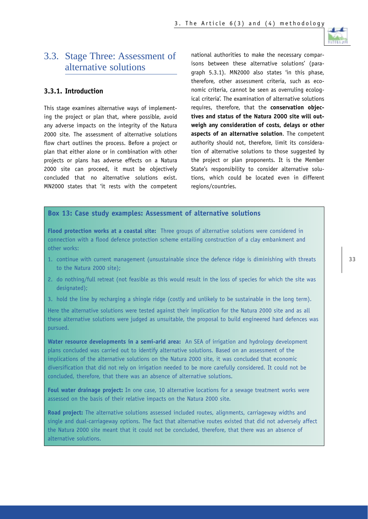# 3.3. Stage Three: Assessment of alternative solutions

#### **3.3.1. Introduction**

This stage examines alternative ways of implementing the project or plan that, where possible, avoid any adverse impacts on the integrity of the Natura 2000 site. The assessment of alternative solutions flow chart outlines the process. Before a project or plan that either alone or in combination with other projects or plans has adverse effects on a Natura 2000 site can proceed, it must be objectively concluded that no alternative solutions exist. MN2000 states that 'it rests with the competent national authorities to make the necessary comparisons between these alternative solutions' (paragraph 5.3.1). MN2000 also states 'in this phase, therefore, other assessment criteria, such as economic criteria, cannot be seen as overruling ecological criteria'. The examination of alternative solutions requires, therefore, that the **conservation objectives and status of the Natura 2000 site will outweigh any consideration of costs, delays or other aspects of an alternative solution**. The competent authority should not, therefore, limit its consideration of alternative solutions to those suggested by the project or plan proponents. It is the Member State's responsibility to consider alternative solutions, which could be located even in different regions/countries.

#### **Box 13: Case study examples: Assessment of alternative solutions**

**Flood protection works at a coastal site:** Three groups of alternative solutions were considered in connection with a flood defence protection scheme entailing construction of a clay embankment and other works:

- 1. continue with current management (unsustainable since the defence ridge is diminishing with threats to the Natura 2000 site);
- 2. do nothing/full retreat (not feasible as this would result in the loss of species for which the site was designated);
- 3. hold the line by recharging a shingle ridge (costly and unlikely to be sustainable in the long term).

Here the alternative solutions were tested against their implication for the Natura 2000 site and as all these alternative solutions were judged as unsuitable, the proposal to build engineered hard defences was pursued.

**Water resource developments in a semi-arid area:** An SEA of irrigation and hydrology development plans concluded was carried out to identify alternative solutions. Based on an assessment of the implications of the alternative solutions on the Natura 2000 site, it was concluded that economic diversification that did not rely on irrigation needed to be more carefully considered. It could not be concluded, therefore, that there was an absence of alternative solutions.

**Foul water drainage project:** In one case, 10 alternative locations for a sewage treatment works were assessed on the basis of their relative impacts on the Natura 2000 site.

**Road project:** The alternative solutions assessed included routes, alignments, carriageway widths and single and dual-carriageway options. The fact that alternative routes existed that did not adversely affect the Natura 2000 site meant that it could not be concluded, therefore, that there was an absence of alternative solutions.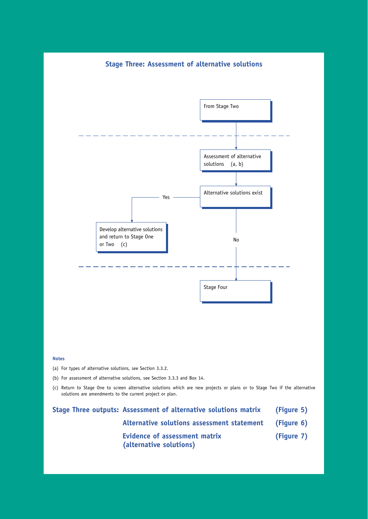#### **Stage Three: Assessment of alternative solutions**



#### **Notes**

(a) For types of alternative solutions, see Section 3.3.2.

(b) For assessment of alternative solutions, see Section 3.3.3 and Box 14.

(c) Return to Stage One to screen alternative solutions which are new projects or plans or to Stage Two if the alternative solutions are amendments to the current project or plan.

|  | Stage Three outputs: Assessment of alternative solutions matrix | (Figure 5)                                               |                                            |            |  |
|--|-----------------------------------------------------------------|----------------------------------------------------------|--------------------------------------------|------------|--|
|  |                                                                 |                                                          | Alternative solutions assessment statement | (Figure 6) |  |
|  |                                                                 | Evidence of assessment matrix<br>(alternative solutions) | (Figure 7)                                 |            |  |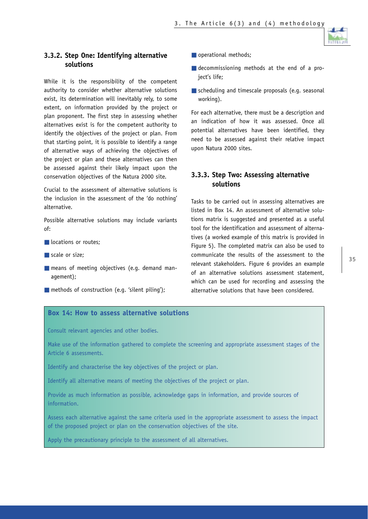

#### **3.3.2. Step One: Identifying alternative solutions**

While it is the responsibility of the competent authority to consider whether alternative solutions exist, its determination will inevitably rely, to some extent, on information provided by the project or plan proponent. The first step in assessing whether alternatives exist is for the competent authority to identify the objectives of the project or plan. From that starting point, it is possible to identify a range of alternative ways of achieving the objectives of the project or plan and these alternatives can then be assessed against their likely impact upon the conservation objectives of the Natura 2000 site.

Crucial to the assessment of alternative solutions is the inclusion in the assessment of the 'do nothing' alternative.

Possible alternative solutions may include variants of:

- locations or routes;
- scale or size:
- means of meeting objectives (e.g. demand management);
- $\blacksquare$  methods of construction (e.g. 'silent piling');
- operational methods;
- decommissioning methods at the end of a project's life;
- scheduling and timescale proposals (e.g. seasonal working).

For each alternative, there must be a description and an indication of how it was assessed. Once all potential alternatives have been identified, they need to be assessed against their relative impact upon Natura 2000 sites.

#### **3.3.3. Step Two: Assessing alternative solutions**

Tasks to be carried out in assessing alternatives are listed in Box 14. An assessment of alternative solutions matrix is suggested and presented as a useful tool for the identification and assessment of alternatives (a worked example of this matrix is provided in Figure 5). The completed matrix can also be used to communicate the results of the assessment to the relevant stakeholders. Figure 6 provides an example of an alternative solutions assessment statement, which can be used for recording and assessing the alternative solutions that have been considered.

#### **Box 14: How to assess alternative solutions**

Consult relevant agencies and other bodies.

Make use of the information gathered to complete the screening and appropriate assessment stages of the Article 6 assessments.

Identify and characterise the key objectives of the project or plan.

Identify all alternative means of meeting the objectives of the project or plan.

Provide as much information as possible, acknowledge gaps in information, and provide sources of information.

Assess each alternative against the same criteria used in the appropriate assessment to assess the impact of the proposed project or plan on the conservation objectives of the site.

Apply the precautionary principle to the assessment of all alternatives.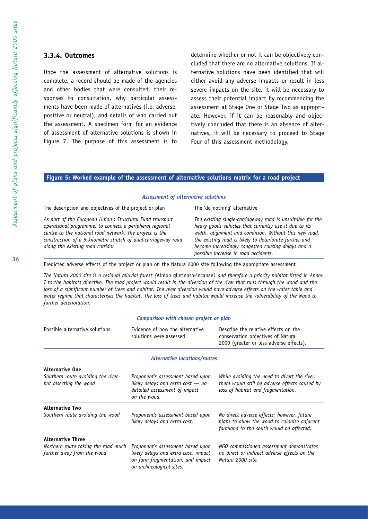#### **3.3.4. Outcomes**

Once the assessment of alternative solutions is complete, a record should be made of the agencies and other bodies that were consulted, their responses to consultation, why particular assessments have been made of alternatives (i.e. adverse, positive or neutral), and details of who carried out the assessment. A specimen form for an evidence of assessment of alternative solutions is shown in Figure 7. The purpose of this assessment is to

determine whether or not it can be objectively concluded that there are no alternative solutions. If alternative solutions have been identified that will either avoid any adverse impacts or result in less severe impacts on the site, it will be necessary to assess their potential impact by recommencing the assessment at Stage One or Stage Two as appropriate. However, if it can be reasonably and objectively concluded that there is an absence of alternatives, it will be necessary to proceed to Stage Four of this assessment methodology.

#### **Figure 5: Worked example of the assessment of alternative solutions matrix for a road project**

#### *Assessment of alternative solutions*

The description and objectives of the project or plan The 'do nothing' alternative

*As part of the European Union's Structural Fund transport The existing single-carriageway road is unsuitable for the operational programme, to connect a peripheral regional heavy goods vehicles that currently use it due to its centre to the national road network. The project is the width, alignment and condition. Without this new road, construction of a 5 kilometre stretch of dual-carriageway road the existing road is likely to deteriorate further and along the existing road corridor. become increasingly congested causing delays and a*

*possible increase in road accidents.*

Predicted adverse effects of the project or plan on the Natura 2000 site following the appropriate assessment

*The Natura 2000 site is a residual alluvial forest (*Alnion glutinoso-incanae*) and therefore a priority habitat listed in Annex I to the habitats directive. The road project would result in the diversion of the river that runs through the wood and the loss of a significant number of trees and habitat. The river diversion would have adverse effects on the water table and water regime that characterises the habitat. The loss of trees and habitat would increase the vulnerability of the wood to further deterioration.*

| Comparison with chosen project or plan                            |                                                                                                                                            |                                                                                                                                        |  |
|-------------------------------------------------------------------|--------------------------------------------------------------------------------------------------------------------------------------------|----------------------------------------------------------------------------------------------------------------------------------------|--|
| Possible alternative solutions                                    | Evidence of how the alternative<br>solutions were assessed                                                                                 | Describe the relative effects on the<br>conservation objectives of Natura<br>2000 (greater or less adverse effects).                   |  |
|                                                                   | <b>Alternative locations/routes</b>                                                                                                        |                                                                                                                                        |  |
| <b>Alternative One</b>                                            |                                                                                                                                            |                                                                                                                                        |  |
| Southern route avoiding the river<br>but bisecting the wood       | Proponent's assessment based upon<br>likely delays and extra $cost - no$<br>detailed assessment of impact<br>on the wood.                  | While avoiding the need to divert the river,<br>there would still be adverse effects caused by<br>loss of habitat and fragmentation.   |  |
| <b>Alternative Two</b>                                            |                                                                                                                                            |                                                                                                                                        |  |
| Southern route avoiding the wood                                  | Proponent's assessment based upon<br>likely delays and extra cost.                                                                         | No direct adverse effects; however, future<br>plans to allow the wood to colonise adjacent<br>farmland to the south would be affected. |  |
| <b>Alternative Three</b>                                          |                                                                                                                                            |                                                                                                                                        |  |
| Northern route taking the road much<br>further away from the wood | Proponent's assessment based upon<br>likely delays and extra cost, impact<br>on farm fragmentation, and impact<br>on archaeological sites. | NGO commissioned assessment demonstrates<br>no direct or indirect adverse effects on the<br>Natura 2000 site.                          |  |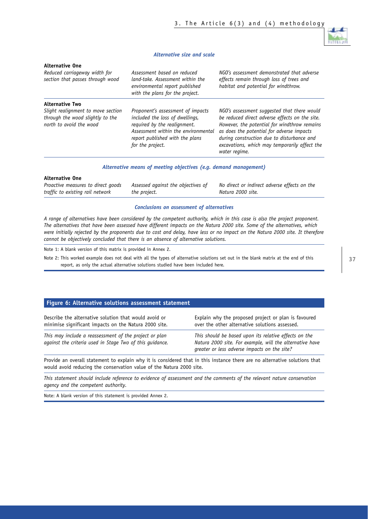

#### *Alternative size and scale*

# **Alternative One**

| Reduced carriageway width for<br>section that passes through wood                                 | Assessment based on reduced<br>land-take. Assessment within the<br>environmental report published<br>with the plans for the project.                                                               | NGO's assessment demonstrated that adverse<br>effects remain through loss of trees and<br>habitat and potential for windthrow.                                                                                                                                                                             |
|---------------------------------------------------------------------------------------------------|----------------------------------------------------------------------------------------------------------------------------------------------------------------------------------------------------|------------------------------------------------------------------------------------------------------------------------------------------------------------------------------------------------------------------------------------------------------------------------------------------------------------|
| <b>Alternative Two</b>                                                                            |                                                                                                                                                                                                    |                                                                                                                                                                                                                                                                                                            |
| Slight realignment to move section<br>through the wood slightly to the<br>north to avoid the wood | Proponent's assessment of impacts<br>included the loss of dwellings,<br>required by the realignment.<br>Assessment within the environmental<br>report published with the plans<br>for the project. | NGO's assessment suggested that there would<br>be reduced direct adverse effects on the site.<br>However, the potential for windthrow remains<br>as does the potential for adverse impacts<br>during construction due to disturbance and<br>excavations, which may temporarily affect the<br>water regime. |

#### *Alternative means of meeting objectives (e.g. demand management)*

| <b>Alternative One</b>             |                                    |                                              |
|------------------------------------|------------------------------------|----------------------------------------------|
| Proactive measures to direct goods | Assessed against the objectives of | No direct or indirect adverse effects on the |
| traffic to existing rail network   | the project.                       | Natura 2000 site.                            |

#### *Conclusions on assessment of alternatives*

*A range of alternatives have been considered by the competent authority, which in this case is also the project proponent. The alternatives that have been assessed have different impacts on the Natura 2000 site. Some of the alternatives, which were initially rejected by the proponents due to cost and delay, have less or no impact on the Natura 2000 site. It therefore cannot be objectively concluded that there is an absence of alternative solutions.*

Note 1: A blank version of this matrix is provided in Annex 2.

Note 2: This worked example does not deal with all the types of alternative solutions set out in the blank matrix at the end of this report, as only the actual alternative solutions studied have been included here.

#### **Figure 6: Alternative solutions assessment statement**

| Describe the alternative solution that would avoid or                                                              | Explain why the proposed project or plan is favoured                                                                                                              |
|--------------------------------------------------------------------------------------------------------------------|-------------------------------------------------------------------------------------------------------------------------------------------------------------------|
| minimise significant impacts on the Natura 2000 site.                                                              | over the other alternative solutions assessed.                                                                                                                    |
| This may include a reassessment of the project or plan<br>against the criteria used in Stage Two of this quidance. | This should be based upon its relative effects on the<br>Natura 2000 site. For example, will the alternative have<br>greater or less adverse impacts on the site? |

Provide an overall statement to explain why it is considered that in this instance there are no alternative solutions that would avoid reducing the conservation value of the Natura 2000 site.

*This statement should include reference to evidence of assessment and the comments of the relevant nature conservation agency and the competent authority.*

Note: A blank version of this statement is provided Annex 2.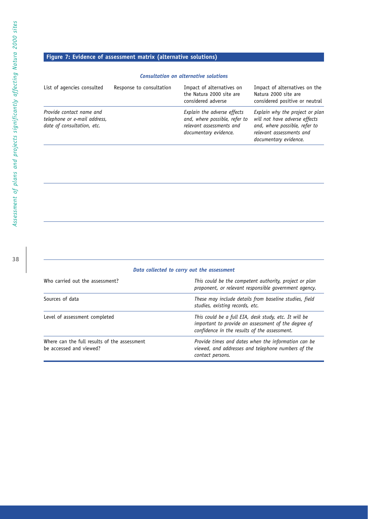# Assessment of plans and projects significantly affecting Natura 2000 sites *Assessment of plans and projects significantly affecting Natura 2000 sites*

# **Figure 7: Evidence of assessment matrix (alternative solutions)**

#### *Consultation on alternative solutions*

| List of agencies consulted                                                             | Response to consultation | Impact of alternatives on<br>the Natura 2000 site are<br>considered adverse                                       | Impact of alternatives on the<br>Natura 2000 site are<br>considered positive or neutral                                                                |
|----------------------------------------------------------------------------------------|--------------------------|-------------------------------------------------------------------------------------------------------------------|--------------------------------------------------------------------------------------------------------------------------------------------------------|
| Provide contact name and<br>telephone or e-mail address,<br>date of consultation, etc. |                          | Explain the adverse effects<br>and, where possible, refer to<br>relevant assessments and<br>documentary evidence. | Explain why the project or plan<br>will not have adverse effects<br>and, where possible, refer to<br>relevant assessments and<br>documentary evidence. |

#### *Data collected to carry out the assessment*

| Who carried out the assessment?                                         | This could be the competent authority, project or plan<br>proponent, or relevant responsible government agency.                                              |
|-------------------------------------------------------------------------|--------------------------------------------------------------------------------------------------------------------------------------------------------------|
| Sources of data                                                         | These may include details from baseline studies, field<br>studies, existing records, etc.                                                                    |
| Level of assessment completed                                           | This could be a full EIA, desk study, etc. It will be<br>important to provide an assessment of the degree of<br>confidence in the results of the assessment. |
| Where can the full results of the assessment<br>be accessed and viewed? | Provide times and dates when the information can be<br>viewed, and addresses and telephone numbers of the<br>contact persons.                                |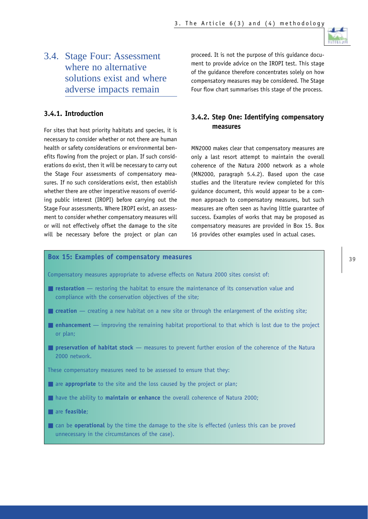

# 3.4. Stage Four: Assessment where no alternative solutions exist and where adverse impacts remain

# **3.4.1. Introduction**

For sites that host priority habitats and species, it is necessary to consider whether or not there are human health or safety considerations or environmental benefits flowing from the project or plan. If such considerations do exist, then it will be necessary to carry out the Stage Four assessments of compensatory measures. If no such considerations exist, then establish whether there are other imperative reasons of overriding public interest (IROPI) before carrying out the Stage Four assessments. Where IROPI exist, an assessment to consider whether compensatory measures will or will not effectively offset the damage to the site will be necessary before the project or plan can proceed. It is not the purpose of this guidance document to provide advice on the IROPI test. This stage of the guidance therefore concentrates solely on how compensatory measures may be considered. The Stage Four flow chart summarises this stage of the process.

# **3.4.2. Step One: Identifying compensatory measures**

MN2000 makes clear that compensatory measures are only a last resort attempt to maintain the overall coherence of the Natura 2000 network as a whole (MN2000, paragraph 5.4.2). Based upon the case studies and the literature review completed for this guidance document, this would appear to be a common approach to compensatory measures, but such measures are often seen as having little guarantee of success. Examples of works that may be proposed as compensatory measures are provided in Box 15. Box 16 provides other examples used in actual cases.

# **Box 15: Examples of compensatory measures 39 12.39 13.39 13.39**

Compensatory measures appropriate to adverse effects on Natura 2000 sites consist of:

- **restoration** restoring the habitat to ensure the maintenance of its conservation value and compliance with the conservation objectives of the site;
- **creation** creating a new habitat on a new site or through the enlargement of the existing site;
- **enhancement** improving the remaining habitat proportional to that which is lost due to the project or plan;
- **preservation of habitat stock** measures to prevent further erosion of the coherence of the Natura 2000 network.

These compensatory measures need to be assessed to ensure that they:

- are **appropriate** to the site and the loss caused by the project or plan;
- have the ability to **maintain or enhance** the overall coherence of Natura 2000;
- are **feasible**;
- can be **operational** by the time the damage to the site is effected (unless this can be proved unnecessary in the circumstances of the case).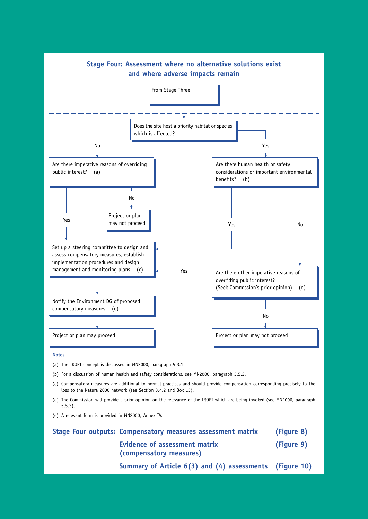

**Notes**

- (a) The IROPI concept is discussed in MN2000, paragraph 5.3.1.
- (b) For a discussion of human health and safety considerations, see MN2000, paragraph 5.5.2.
- (c) Compensatory measures are additional to normal practices and should provide compensation corresponding precisely to the loss to the Natura 2000 network (see Section 3.4.2 and Box 15).
- (d) The Commission will provide a prior opinion on the relevance of the IROPI which are being invoked (see MN2000, paragraph 5.5.3).
- (e) A relevant form is provided in MN2000, Annex IV.

| Stage Four outputs: Compensatory measures assessment matrix | (Figure 8) |
|-------------------------------------------------------------|------------|
| Evidence of assessment matrix<br>(compensatory measures)    | (Figure 9) |
| Summary of Article 6(3) and (4) assessments (Figure 10)     |            |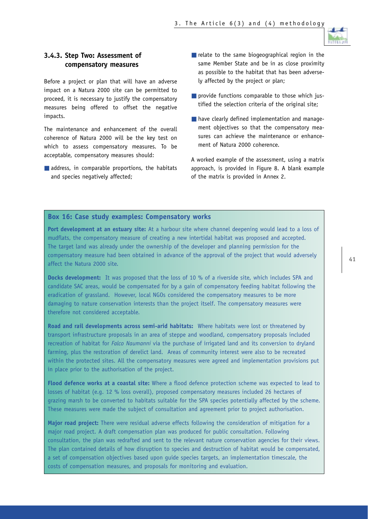

# **3.4.3. Step Two: Assessment of compensatory measures**

Before a project or plan that will have an adverse impact on a Natura 2000 site can be permitted to proceed, it is necessary to justify the compensatory measures being offered to offset the negative impacts.

The maintenance and enhancement of the overall coherence of Natura 2000 will be the key test on which to assess compensatory measures. To be acceptable, compensatory measures should:

■ address, in comparable proportions, the habitats and species negatively affected;

- $\blacksquare$  relate to the same biogeographical region in the same Member State and be in as close proximity as possible to the habitat that has been adversely affected by the project or plan;
- provide functions comparable to those which justified the selection criteria of the original site;
- have clearly defined implementation and management objectives so that the compensatory measures can achieve the maintenance or enhancement of Natura 2000 coherence.

A worked example of the assessment, using a matrix approach, is provided in Figure 8. A blank example of the matrix is provided in Annex 2.

# **Box 16: Case study examples: Compensatory works**

**Port development at an estuary site:** At a harbour site where channel deepening would lead to a loss of mudflats, the compensatory measure of creating a new intertidal habitat was proposed and accepted. The target land was already under the ownership of the developer and planning permission for the compensatory measure had been obtained in advance of the approval of the project that would adversely affect the Natura 2000 site.

**Docks development:** It was proposed that the loss of 10 % of a riverside site, which includes SPA and candidate SAC areas, would be compensated for by a gain of compensatory feeding habitat following the eradication of grassland. However, local NGOs considered the compensatory measures to be more damaging to nature conservation interests than the project itself. The compensatory measures were therefore not considered acceptable.

**Road and rail developments across semi-arid habitats:** Where habitats were lost or threatened by transport infrastructure proposals in an area of steppe and woodland, compensatory proposals included recreation of habitat for *Falco Naumanni* via the purchase of irrigated land and its conversion to dryland farming, plus the restoration of derelict land. Areas of community interest were also to be recreated within the protected sites. All the compensatory measures were agreed and implementation provisions put in place prior to the authorisation of the project.

**Flood defence works at a coastal site:** Where a flood defence protection scheme was expected to lead to losses of habitat (e.g. 12 % loss overall), proposed compensatory measures included 26 hectares of grazing marsh to be converted to habitats suitable for the SPA species potentially affected by the scheme. These measures were made the subject of consultation and agreement prior to project authorisation.

**Major road project:** There were residual adverse effects following the consideration of mitigation for a major road project. A draft compensation plan was produced for public consultation. Following consultation, the plan was redrafted and sent to the relevant nature conservation agencies for their views. The plan contained details of how disruption to species and destruction of habitat would be compensated, a set of compensation objectives based upon guide species targets, an implementation timescale, the costs of compensation measures, and proposals for monitoring and evaluation.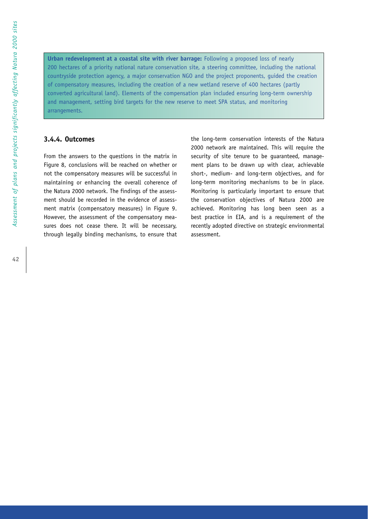**Urban redevelopment at a coastal site with river barrage:** Following a proposed loss of nearly 200 hectares of a priority national nature conservation site, a steering committee, including the national countryside protection agency, a major conservation NGO and the project proponents, guided the creation of compensatory measures, including the creation of a new wetland reserve of 400 hectares (partly converted agricultural land). Elements of the compensation plan included ensuring long-term ownership and management, setting bird targets for the new reserve to meet SPA status, and monitoring arrangements.

## **3.4.4. Outcomes**

From the answers to the questions in the matrix in Figure 8, conclusions will be reached on whether or not the compensatory measures will be successful in maintaining or enhancing the overall coherence of the Natura 2000 network. The findings of the assessment should be recorded in the evidence of assessment matrix (compensatory measures) in Figure 9. However, the assessment of the compensatory measures does not cease there. It will be necessary, through legally binding mechanisms, to ensure that the long-term conservation interests of the Natura 2000 network are maintained. This will require the security of site tenure to be guaranteed, management plans to be drawn up with clear, achievable short-, medium- and long-term objectives, and for long-term monitoring mechanisms to be in place. Monitoring is particularly important to ensure that the conservation objectives of Natura 2000 are achieved. Monitoring has long been seen as a best practice in EIA, and is a requirement of the recently adopted directive on strategic environmental assessment.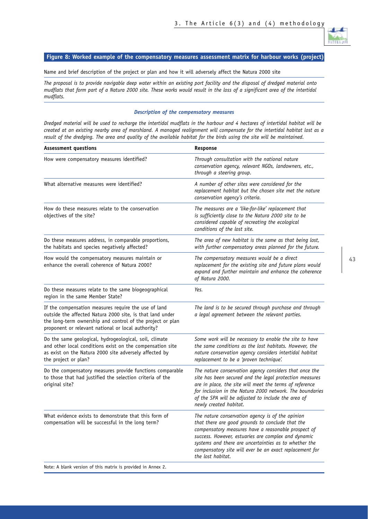

#### **Figure 8: Worked example of the compensatory measures assessment matrix for harbour works (project)**

Name and brief description of the project or plan and how it will adversely affect the Natura 2000 site

*The proposal is to provide navigable deep water within an existing port facility and the disposal of dredged material onto mudflats that form part of a Natura 2000 site. These works would result in the loss of a significant area of the intertidal mudflats.*

#### *Description of the compensatory measures*

*Dredged material will be used to recharge the intertidal mudflats in the harbour and 4 hectares of intertidal habitat will be created at an existing nearby area of marshland. A managed realignment will compensate for the intertidal habitat lost as a result of the dredging. The area and quality of the available habitat for the birds using the site will be maintained.* 

| <b>Assessment questions</b>                                                                                                                                                                                                           | Response                                                                                                                                                                                                                                                                                                                                                    |  |  |
|---------------------------------------------------------------------------------------------------------------------------------------------------------------------------------------------------------------------------------------|-------------------------------------------------------------------------------------------------------------------------------------------------------------------------------------------------------------------------------------------------------------------------------------------------------------------------------------------------------------|--|--|
| How were compensatory measures identified?                                                                                                                                                                                            | Through consultation with the national nature<br>conservation agency, relevant NGOs, landowners, etc.,<br>through a steering group.                                                                                                                                                                                                                         |  |  |
| What alternative measures were identified?                                                                                                                                                                                            | A number of other sites were considered for the<br>replacement habitat but the chosen site met the nature<br>conservation agency's criteria.                                                                                                                                                                                                                |  |  |
| How do these measures relate to the conservation<br>objectives of the site?                                                                                                                                                           | The measures are a 'like-for-like' replacement that<br>is sufficiently close to the Natura 2000 site to be<br>considered capable of recreating the ecological<br>conditions of the lost site.                                                                                                                                                               |  |  |
| Do these measures address, in comparable proportions,<br>the habitats and species negatively affected?                                                                                                                                | The area of new habitat is the same as that being lost,<br>with further compensatory areas planned for the future.                                                                                                                                                                                                                                          |  |  |
| How would the compensatory measures maintain or<br>enhance the overall coherence of Natura 2000?                                                                                                                                      | The compensatory measures would be a direct<br>replacement for the existing site and future plans would<br>expand and further maintain and enhance the coherence<br>of Natura 2000.                                                                                                                                                                         |  |  |
| Do these measures relate to the same biogeographical<br>region in the same Member State?                                                                                                                                              | Yes.                                                                                                                                                                                                                                                                                                                                                        |  |  |
| If the compensation measures require the use of land<br>outside the affected Natura 2000 site, is that land under<br>the long-term ownership and control of the project or plan<br>proponent or relevant national or local authority? | The land is to be secured through purchase and through<br>a legal agreement between the relevant parties.                                                                                                                                                                                                                                                   |  |  |
| Do the same geological, hydrogeological, soil, climate<br>and other local conditions exist on the compensation site<br>as exist on the Natura 2000 site adversely affected by<br>the project or plan?                                 | Some work will be necessary to enable the site to have<br>the same conditions as the lost habitats. However, the<br>nature conservation agency considers intertidal habitat<br>replacement to be a 'proven technique'.                                                                                                                                      |  |  |
| Do the compensatory measures provide functions comparable<br>to those that had justified the selection criteria of the<br>original site?                                                                                              | The nature conservation agency considers that once the<br>site has been secured and the legal protection measures<br>are in place, the site will meet the terms of reference<br>for inclusion in the Natura 2000 network. The boundaries<br>of the SPA will be adjusted to include the area of<br>newly created habitat.                                    |  |  |
| What evidence exists to demonstrate that this form of<br>compensation will be successful in the long term?                                                                                                                            | The nature conservation agency is of the opinion<br>that there are good grounds to conclude that the<br>compensatory measures have a reasonable prospect of<br>success. However, estuaries are complex and dynamic<br>systems and there are uncertainties as to whether the<br>compensatory site will ever be an exact replacement for<br>the lost habitat. |  |  |
| 0.11                                                                                                                                                                                                                                  |                                                                                                                                                                                                                                                                                                                                                             |  |  |

Note: A blank version of this matrix is provided in Annex 2.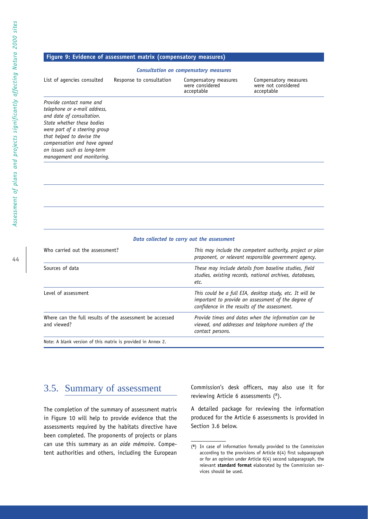#### **Figure 9: Evidence of assessment matrix (compensatory measures)**

#### *Consultation on compensatory measures*

| List of agencies consulted                                                                                                                                                                                                                                                     | Response to consultation | Compensatory measures<br>were considered<br>acceptable | Compensatory measures<br>were not considered<br>acceptable |
|--------------------------------------------------------------------------------------------------------------------------------------------------------------------------------------------------------------------------------------------------------------------------------|--------------------------|--------------------------------------------------------|------------------------------------------------------------|
| Provide contact name and<br>telephone or e-mail address,<br>and date of consultation.<br>State whether these hodies<br>were part of a steering group<br>that helped to devise the<br>compensation and have agreed<br>on issues such as long-term<br>management and monitoring. |                          |                                                        |                                                            |

#### *Data collected to carry out the assessment*

| Who carried out the assessment?                                         | This may include the competent authority, project or plan<br>proponent, or relevant responsible government agency.                                              |  |  |
|-------------------------------------------------------------------------|-----------------------------------------------------------------------------------------------------------------------------------------------------------------|--|--|
| Sources of data                                                         | These may include details from baseline studies, field<br>studies, existing records, national archives, databases,<br>etc.                                      |  |  |
| Level of assessment                                                     | This could be a full EIA, desktop study, etc. It will be<br>important to provide an assessment of the degree of<br>confidence in the results of the assessment. |  |  |
| Where can the full results of the assessment be accessed<br>and viewed? | Provide times and dates when the information can be<br>viewed, and addresses and telephone numbers of the<br>contact persons.                                   |  |  |

Note: A blank version of this matrix is provided in Annex 2.

# 3.5. Summary of assessment

The completion of the summary of assessment matrix in Figure 10 will help to provide evidence that the assessments required by the habitats directive have been completed. The proponents of projects or plans can use this summary as an *aide mémoire*. Competent authorities and others, including the European Commission's desk officers, may also use it for reviewing Article 6 assessments (<sup>8</sup>).

A detailed package for reviewing the information produced for the Article 6 assessments is provided in Section 3.6 below.

<sup>(</sup>**8**) In case of information formally provided to the Commission according to the provisions of Article 6(4) first subparagraph or for an opinion under Article 6(4) second subparagraph, the relevant **standard format** elaborated by the Commission services should be used.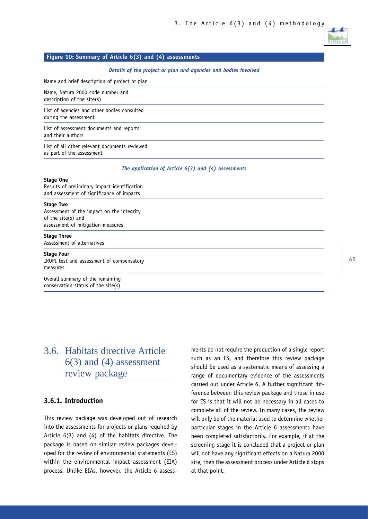

## **Figure 10: Summary of Article 6(3) and (4) assessments**

*Details of the project or plan and agencies and bodies involved*

Name and brief description of project or plan

Name, Natura 2000 code number and description of the site(s)

List of agencies and other bodies consulted during the assessment

List of assessment documents and reports and their authors

List of all other relevant documents reviewed as part of the assessment

*The application of Article 6(3) and (4) assessments*

#### **Stage One**

Results of preliminary impact identification and assessment of significance of impacts

#### **Stage Two**

Assessment of the impact on the integrity of the site(s) and assessment of mitigation measures

#### **Stage Three**

Assessment of alternatives

#### **Stage Four**

IROPI test and assessment of compensatory measures

Overall summary of the remaining conservation status of the site(s)

# 3.6. Habitats directive Article 6(3) and (4) assessment review package

# **3.6.1. Introduction**

This review package was developed out of research into the assessments for projects or plans required by Article 6(3) and (4) of the habitats directive. The package is based on similar review packages developed for the review of environmental statements (ES) within the environmental impact assessment (EIA) process. Unlike EIAs, however, the Article 6 assessments do not require the production of a single report such as an ES, and therefore this review package should be used as a systematic means of assessing a range of documentary evidence of the assessments carried out under Article 6. A further significant difference between this review package and those in use for ES is that it will not be necessary in all cases to complete all of the review. In many cases, the review will only be of the material used to determine whether particular stages in the Article 6 assessments have been completed satisfactorily. For example, if at the screening stage it is concluded that a project or plan will not have any significant effects on a Natura 2000 site, then the assessment process under Article 6 stops at that point.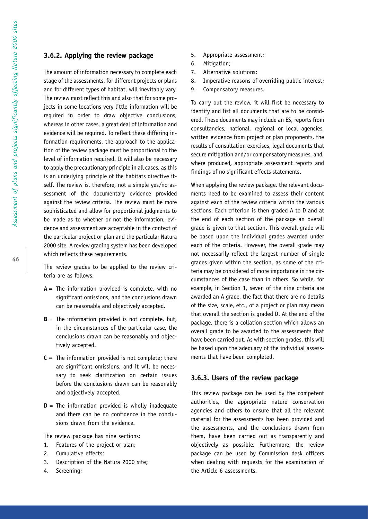## **3.6.2. Applying the review package**

The amount of information necessary to complete each stage of the assessments, for different projects or plans and for different types of habitat, will inevitably vary. The review must reflect this and also that for some projects in some locations very little information will be required in order to draw objective conclusions, whereas in other cases, a great deal of information and evidence will be required. To reflect these differing information requirements, the approach to the application of the review package must be proportional to the level of information required. It will also be necessary to apply the precautionary principle in all cases, as this is an underlying principle of the habitats directive itself. The review is, therefore, not a simple yes/no assessment of the documentary evidence provided against the review criteria. The review must be more sophisticated and allow for proportional judgments to be made as to whether or not the information, evidence and assessment are acceptable in the context of the particular project or plan and the particular Natura 2000 site. A review grading system has been developed which reflects these requirements.

The review grades to be applied to the review criteria are as follows.

- $A =$ The information provided is complete, with no significant omissions, and the conclusions drawn can be reasonably and objectively accepted.
- **B** = The information provided is not complete, but, in the circumstances of the particular case, the conclusions drawn can be reasonably and objectively accepted.
- $C =$  The information provided is not complete; there are significant omissions, and it will be necessary to seek clarification on certain issues before the conclusions drawn can be reasonably and objectively accepted.
- **D** = The information provided is wholly inadequate and there can be no confidence in the conclusions drawn from the evidence.

The review package has nine sections:

- 1. Features of the project or plan;
- 2. Cumulative effects;
- 3. Description of the Natura 2000 site;
- 4. Screening;
- 5. Appropriate assessment;
- 6. Mitigation;
- 7. Alternative solutions;
- 8. Imperative reasons of overriding public interest;
- 9. Compensatory measures.

To carry out the review, it will first be necessary to identify and list all documents that are to be considered. These documents may include an ES, reports from consultancies, national, regional or local agencies, written evidence from project or plan proponents, the results of consultation exercises, legal documents that secure mitigation and/or compensatory measures, and, where produced, appropriate assessment reports and findings of no significant effects statements.

When applying the review package, the relevant documents need to be examined to assess their content against each of the review criteria within the various sections. Each criterion is then graded A to D and at the end of each section of the package an overall grade is given to that section. This overall grade will be based upon the individual grades awarded under each of the criteria. However, the overall grade may not necessarily reflect the largest number of single grades given within the section, as some of the criteria may be considered of more importance in the circumstances of the case than in others. So while, for example, in Section 1, seven of the nine criteria are awarded an A grade, the fact that there are no details of the size, scale, etc., of a project or plan may mean that overall the section is graded D. At the end of the package, there is a collation section which allows an overall grade to be awarded to the assessments that have been carried out. As with section grades, this will be based upon the adequacy of the individual assessments that have been completed.

#### **3.6.3. Users of the review package**

This review package can be used by the competent authorities, the appropriate nature conservation agencies and others to ensure that all the relevant material for the assessments has been provided and the assessments, and the conclusions drawn from them, have been carried out as transparently and objectively as possible. Furthermore, the review package can be used by Commission desk officers when dealing with requests for the examination of the Article 6 assessments.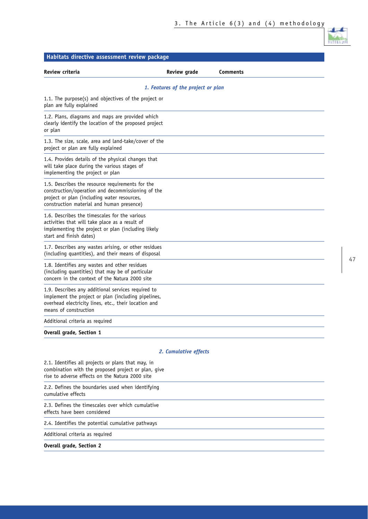| Habitats directive assessment review package                                                                                                                                                      |                                    |          |
|---------------------------------------------------------------------------------------------------------------------------------------------------------------------------------------------------|------------------------------------|----------|
| Review criteria                                                                                                                                                                                   | <b>Review grade</b>                | Comments |
|                                                                                                                                                                                                   | 1. Features of the project or plan |          |
| 1.1. The purpose(s) and objectives of the project or<br>plan are fully explained                                                                                                                  |                                    |          |
| 1.2. Plans, diagrams and maps are provided which<br>clearly identify the location of the proposed project<br>or plan                                                                              |                                    |          |
| 1.3. The size, scale, area and land-take/cover of the<br>project or plan are fully explained                                                                                                      |                                    |          |
| 1.4. Provides details of the physical changes that<br>will take place during the various stages of<br>implementing the project or plan                                                            |                                    |          |
| 1.5. Describes the resource requirements for the<br>construction/operation and decommissioning of the<br>project or plan (including water resources,<br>construction material and human presence) |                                    |          |
| 1.6. Describes the timescales for the various<br>activities that will take place as a result of<br>implementing the project or plan (including likely<br>start and finish dates)                  |                                    |          |
| 1.7. Describes any wastes arising, or other residues<br>(including quantities), and their means of disposal                                                                                       |                                    |          |
| 1.8. Identifies any wastes and other residues<br>(including quantities) that may be of particular<br>concern in the context of the Natura 2000 site                                               |                                    |          |
| 1.9. Describes any additional services required to<br>implement the project or plan (including pipelines,<br>overhead electricity lines, etc., their location and<br>means of construction        |                                    |          |
| Additional criteria as required                                                                                                                                                                   |                                    |          |
| <b>Overall grade, Section 1</b>                                                                                                                                                                   |                                    |          |
|                                                                                                                                                                                                   | 2. Cumulative effects              |          |
| 2.1. Identifies all projects or plans that may, in<br>combination with the proposed project or plan, give<br>rise to adverse effects on the Natura 2000 site                                      |                                    |          |
| 2.2. Defines the boundaries used when identifying<br>cumulative effects                                                                                                                           |                                    |          |
| 2.3. Defines the timescales over which cumulative<br>effects have been considered                                                                                                                 |                                    |          |
| 2.4. Identifies the potential cumulative pathways                                                                                                                                                 |                                    |          |
| Additional criteria as required                                                                                                                                                                   |                                    |          |
| <b>Overall grade, Section 2</b>                                                                                                                                                                   |                                    |          |

п.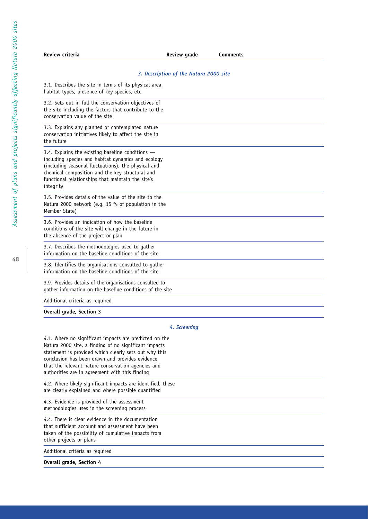| Review criteria                                                                                                                                                                                                                                                                      | <b>Review grade</b>                    | <b>Comments</b> |  |
|--------------------------------------------------------------------------------------------------------------------------------------------------------------------------------------------------------------------------------------------------------------------------------------|----------------------------------------|-----------------|--|
|                                                                                                                                                                                                                                                                                      | 3. Description of the Natura 2000 site |                 |  |
| 3.1. Describes the site in terms of its physical area,<br>habitat types, presence of key species, etc.                                                                                                                                                                               |                                        |                 |  |
| 3.2. Sets out in full the conservation objectives of<br>the site including the factors that contribute to the<br>conservation value of the site                                                                                                                                      |                                        |                 |  |
| 3.3. Explains any planned or contemplated nature<br>conservation initiatives likely to affect the site in<br>the future                                                                                                                                                              |                                        |                 |  |
| 3.4. Explains the existing baseline conditions $-$<br>including species and habitat dynamics and ecology<br>(including seasonal fluctuations), the physical and<br>chemical composition and the key structural and<br>functional relationships that maintain the site's<br>integrity |                                        |                 |  |
| 3.5. Provides details of the value of the site to the<br>Natura 2000 network (e.g. 15 % of population in the<br>Member State)                                                                                                                                                        |                                        |                 |  |
| 3.6. Provides an indication of how the baseline<br>conditions of the site will change in the future in<br>the absence of the project or plan                                                                                                                                         |                                        |                 |  |
| 3.7. Describes the methodologies used to gather<br>information on the baseline conditions of the site                                                                                                                                                                                |                                        |                 |  |
| 3.8. Identifies the organisations consulted to gather<br>information on the baseline conditions of the site                                                                                                                                                                          |                                        |                 |  |
| 3.9. Provides details of the organisations consulted to<br>gather information on the baseline conditions of the site                                                                                                                                                                 |                                        |                 |  |
| Additional criteria as required                                                                                                                                                                                                                                                      |                                        |                 |  |
| <b>Overall grade, Section 3</b>                                                                                                                                                                                                                                                      |                                        |                 |  |

#### *4. Screening*

4.1. Where no significant impacts are predicted on the Natura 2000 site, a finding of no significant impacts statement is provided which clearly sets out why this conclusion has been drawn and provides evidence that the relevant nature conservation agencies and authorities are in agreement with this finding

4.2. Where likely significant impacts are identified, these are clearly explained and where possible quantified

4.3. Evidence is provided of the assessment methodologies uses in the screening process

4.4. There is clear evidence in the documentation that sufficient account and assessment have been taken of the possibility of cumulative impacts from other projects or plans

Additional criteria as required

**Overall grade, Section 4**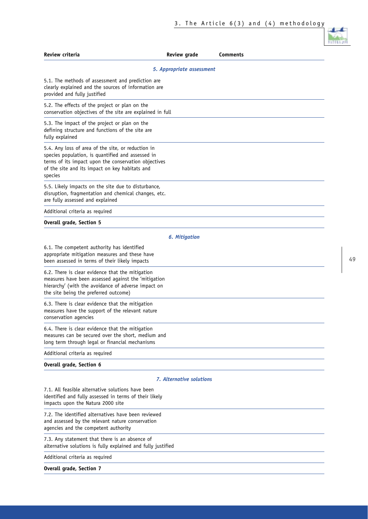| Review criteria                                                                                                                                                                                                              | <b>Review grade</b>             | <b>Comments</b> |
|------------------------------------------------------------------------------------------------------------------------------------------------------------------------------------------------------------------------------|---------------------------------|-----------------|
|                                                                                                                                                                                                                              | 5. Appropriate assessment       |                 |
| 5.1. The methods of assessment and prediction are<br>clearly explained and the sources of information are<br>provided and fully justified                                                                                    |                                 |                 |
| 5.2. The effects of the project or plan on the<br>conservation objectives of the site are explained in full                                                                                                                  |                                 |                 |
| 5.3. The impact of the project or plan on the<br>defining structure and functions of the site are<br>fully explained                                                                                                         |                                 |                 |
| 5.4. Any loss of area of the site, or reduction in<br>species population, is quantified and assessed in<br>terms of its impact upon the conservation objectives<br>of the site and its impact on key habitats and<br>species |                                 |                 |
| 5.5. Likely impacts on the site due to disturbance,<br>disruption, fragmentation and chemical changes, etc.<br>are fully assessed and explained                                                                              |                                 |                 |
| Additional criteria as required                                                                                                                                                                                              |                                 |                 |
| Overall grade, Section 5                                                                                                                                                                                                     |                                 |                 |
|                                                                                                                                                                                                                              | <b>6. Mitigation</b>            |                 |
| 6.1. The competent authority has identified<br>appropriate mitigation measures and these have<br>been assessed in terms of their likely impacts                                                                              |                                 |                 |
| 6.2. There is clear evidence that the mitigation<br>measures have been assessed against the 'mitigation<br>hierarchy' (with the avoidance of adverse impact on<br>the site being the preferred outcome)                      |                                 |                 |
| 6.3. There is clear evidence that the mitigation<br>measures have the support of the relevant nature<br>conservation agencies                                                                                                |                                 |                 |
| 6.4. There is clear evidence that the mitigation<br>measures can be secured over the short, medium and<br>long term through legal or financial mechanisms                                                                    |                                 |                 |
| Additional criteria as required                                                                                                                                                                                              |                                 |                 |
| Overall grade, Section 6                                                                                                                                                                                                     |                                 |                 |
|                                                                                                                                                                                                                              | <b>7. Alternative solutions</b> |                 |
| 7.1. All feasible alternative solutions have been<br>identified and fully assessed in terms of their likely<br>impacts upon the Natura 2000 site                                                                             |                                 |                 |
| 7.2. The identified alternatives have been reviewed<br>and assessed by the relevant nature conservation<br>agencies and the competent authority                                                                              |                                 |                 |
| 7.3. Any statement that there is an absence of<br>alternative solutions is fully explained and fully justified                                                                                                               |                                 |                 |
| Additional criteria as required                                                                                                                                                                                              |                                 |                 |
| Overall grade, Section 7                                                                                                                                                                                                     |                                 |                 |
|                                                                                                                                                                                                                              |                                 |                 |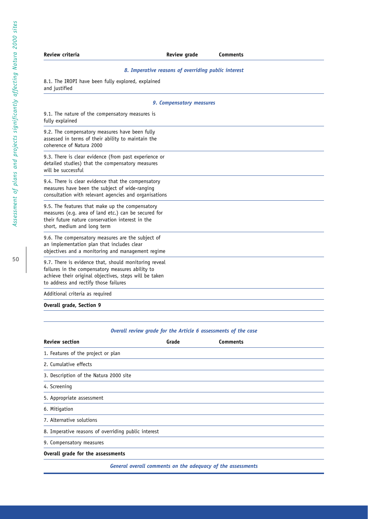| Review criteria                                                                                                                                                                                              | <b>Review grade</b>                                 | <b>Comments</b> |
|--------------------------------------------------------------------------------------------------------------------------------------------------------------------------------------------------------------|-----------------------------------------------------|-----------------|
|                                                                                                                                                                                                              | 8. Imperative reasons of overriding public interest |                 |
| 8.1. The IROPI have been fully explored, explained<br>and justified                                                                                                                                          |                                                     |                 |
|                                                                                                                                                                                                              | 9. Compensatory measures                            |                 |
| 9.1. The nature of the compensatory measures is<br>fully explained                                                                                                                                           |                                                     |                 |
| 9.2. The compensatory measures have been fully<br>assessed in terms of their ability to maintain the<br>coherence of Natura 2000                                                                             |                                                     |                 |
| 9.3. There is clear evidence (from past experience or<br>detailed studies) that the compensatory measures<br>will be successful                                                                              |                                                     |                 |
| 9.4. There is clear evidence that the compensatory<br>measures have been the subject of wide-ranging<br>consultation with relevant agencies and organisations                                                |                                                     |                 |
| 9.5. The features that make up the compensatory<br>measures (e.g. area of land etc.) can be secured for<br>their future nature conservation interest in the<br>short, medium and long term                   |                                                     |                 |
| 9.6. The compensatory measures are the subject of<br>an implementation plan that includes clear<br>objectives and a monitoring and management regime                                                         |                                                     |                 |
| 9.7. There is evidence that, should monitoring reveal<br>failures in the compensatory measures ability to<br>achieve their original objectives, steps will be taken<br>to address and rectify those failures |                                                     |                 |
| Additional criteria as required                                                                                                                                                                              |                                                     |                 |
| <b>Overall grade, Section 9</b>                                                                                                                                                                              |                                                     |                 |

# *Overall review grade for the Article 6 assessments of the case*

| <b>Review section</b>                               | Grade | <b>Comments</b>                                             |  |
|-----------------------------------------------------|-------|-------------------------------------------------------------|--|
| 1. Features of the project or plan                  |       |                                                             |  |
| 2. Cumulative effects                               |       |                                                             |  |
| 3. Description of the Natura 2000 site              |       |                                                             |  |
| 4. Screening                                        |       |                                                             |  |
| 5. Appropriate assessment                           |       |                                                             |  |
| 6. Mitigation                                       |       |                                                             |  |
| 7. Alternative solutions                            |       |                                                             |  |
| 8. Imperative reasons of overriding public interest |       |                                                             |  |
| 9. Compensatory measures                            |       |                                                             |  |
| Overall grade for the assessments                   |       |                                                             |  |
|                                                     |       | General overall comments on the adequacy of the assessments |  |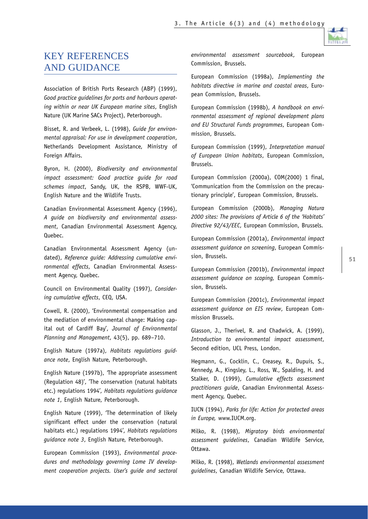

# KEY REFERENCES AND GUIDANCE

Association of British Ports Research (ABP) (1999), *Good practice guidelines for ports and harbours operating within or near UK European marine sites*, English Nature (UK Marine SACs Project), Peterborough.

Bisset, R. and Verbeek, L. (1998), *Guide for environmental appraisal: For use in development cooperation*, Netherlands Development Assistance, Ministry of Foreign Affairs.

Byron, H. (2000), *Biodiversity and environmental impact assessment: Good practice guide for road schemes impact*, Sandy, UK, the RSPB, WWF-UK, English Nature and the Wildlife Trusts.

Canadian Environmental Assessment Agency (1996), *A guide on biodiversity and environmental assessment*, Canadian Environmental Assessment Agency, Quebec.

Canadian Environmental Assessment Agency (undated), *Reference guide: Addressing cumulative environmental effects*, Canadian Environmental Assessment Agency, Quebec.

Council on Environmental Quality (1997), *Considering cumulative effects*, CEQ, USA.

Cowell, R. (2000), 'Environmental compensation and the mediation of environmental change: Making capital out of Cardiff Bay', *Journal of Environmental Planning and Management*, 43(5), pp. 689–710.

English Nature (1997a), *Habitats regulations guidance note*, English Nature, Peterborough.

English Nature (1997b), *'*The appropriate assessment (Regulation 48)', 'The conservation (natural habitats etc.) regulations 1994'*, Habitats regulations guidance note 1*, English Nature, Peterborough.

English Nature (1999), 'The determination of likely significant effect under the conservation (natural habitats etc.) regulations 1994'*, Habitats regulations guidance note 3*, English Nature, Peterborough.

European Commission (1993), *Environmental procedures and methodology governing Lome IV development cooperation projects. User's guide and sectoral* *environmental assessment sourcebook*, European Commission, Brussels.

European Commission (1998a), *Implementing the habitats directive in marine and coastal areas*, European Commission, Brussels.

European Commission (1998b), *A handbook on environmental assessment of regional development plans and EU Structural Funds programmes*, European Commission, Brussels.

European Commission (1999), *Interpretation manual of European Union habitats*, European Commission, Brussels.

European Commission (2000a), COM(2000) 1 final, 'Communication from the Commission on the precautionary principle', European Commission, Brussels.

European Commission (2000b), *Managing Natura 2000 sites: The provisions of Article 6 of the 'Habitats' Directive 92/43/EEC*, European Commission, Brussels.

European Commission (2001a), *Environmental impact assessment guidance on screening*, European Commission, Brussels.

European Commission (2001b), *Environmental impact assessment guidance on scoping,* European Commission, Brussels.

European Commission (2001c), *Environmental impact assessment guidance on EIS review*, European Commission Brussels.

Glasson, J., Therivel, R. and Chadwick, A. (1999), *Introduction to environmental impact assessment*, Second edition, UCL Press, London.

Hegmann, G., Cocklin, C., Creasey, R., Dupuis, S., Kennedy, A., Kingsley, L., Ross, W., Spalding, H. and Stalker, D. (1999), *Cumulative effects assessment practitioners guide*, Canadian Environmental Assessment Agency, Quebec.

IUCN (1994), *Parks for life: Action for protected areas in Europe,* www.IUCM.org.

Milko, R. (1998), *Migratory birds environmental assessment guidelines*, Canadian Wildlife Service, Ottawa.

Milko, R. (1998), *Wetlands environmental assessment guidelines*, Canadian Wildlife Service, Ottawa.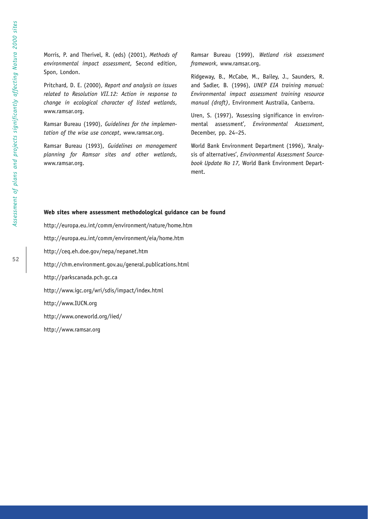Morris, P. and Therivel, R. (eds) (2001), *Methods of environmental impact assessment*, Second edition, Spon, London.

Pritchard, D. E. (2000), *Report and analysis on issues related to Resolution VII.12: Action in response to change in ecological character of listed wetlands*, www.ramsar.org.

Ramsar Bureau (1990), *Guidelines for the implementation of the wise use concept*, www.ramsar.org.

Ramsar Bureau (1993), *Guidelines on management planning for Ramsar sites and other wetlands*, www.ramsar.org.

Ramsar Bureau (1999), *Wetland risk assessment framework*, www.ramsar.org.

Ridgeway, B., McCabe, M., Bailey, J., Saunders, R. and Sadler, B. (1996), *UNEP EIA training manual: Environmental impact assessment training resource manual (draft)*, Environment Australia, Canberra.

Uren, S. (1997), 'Assessing significance in environmental assessment', *Environmental Assessment*, December, pp. 24–25.

World Bank Environment Department (1996), 'Analysis of alternatives', *Environmental Assessment Sourcebook Update No 17,* World Bank Environment Department.

#### **Web sites where assessment methodological guidance can be found**

http://europa.eu.int/comm/environment/nature/home.htm http://europa.eu.int/comm/environment/eia/home.htm http://ceq.eh.doe.gov/nepa/nepanet.htm http://chm.environment.gov.au/general.publications.html http://parkscanada.pch.gc.ca http://www.igc.org/wri/sdis/impact/index.html http://www.IUCN.org http://www.oneworld.org/iied/ http://www.ramsar.org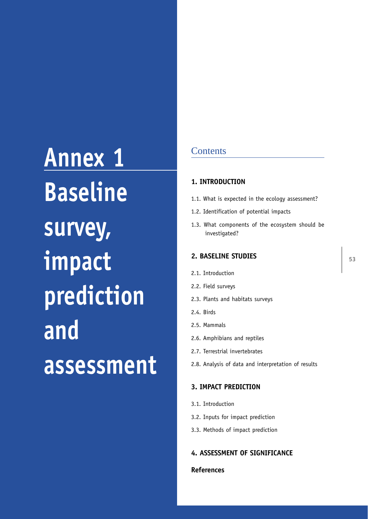**Annex 1 Baseline survey, impact prediction and assessment**

# **Contents**

#### **1. INTRODUCTION**

- 1.1. What is expected in the ecology assessment?
- 1.2. Identification of potential impacts
- 1.3. What components of the ecosystem should be investigated?

# **2. BASELINE STUDIES**

- 2.1. Introduction
- 2.2. Field surveys
- 2.3. Plants and habitats surveys
- 2.4. Birds
- 2.5. Mammals
- 2.6. Amphibians and reptiles
- 2.7. Terrestrial invertebrates
- 2.8. Analysis of data and interpretation of results

# **3. IMPACT PREDICTION**

- 3.1. Introduction
- 3.2. Inputs for impact prediction
- 3.3. Methods of impact prediction

# **4. ASSESSMENT OF SIGNIFICANCE**

# **References**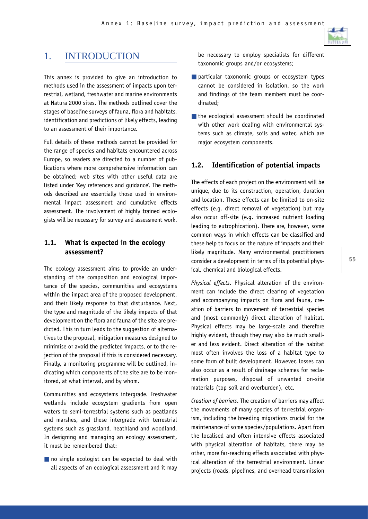

# 1. INTRODUCTION

This annex is provided to give an introduction to methods used in the assessment of impacts upon terrestrial, wetland, freshwater and marine environments at Natura 2000 sites. The methods outlined cover the stages of baseline surveys of fauna, flora and habitats, identification and predictions of likely effects, leading to an assessment of their importance.

Full details of these methods cannot be provided for the range of species and habitats encountered across Europe, so readers are directed to a number of publications where more comprehensive information can be obtained; web sites with other useful data are listed under 'Key references and guidance'. The methods described are essentially those used in environmental impact assessment and cumulative effects assessment. The involvement of highly trained ecologists will be necessary for survey and assessment work.

# **1.1. What is expected in the ecology assessment?**

The ecology assessment aims to provide an understanding of the composition and ecological importance of the species, communities and ecosystems within the impact area of the proposed development, and their likely response to that disturbance. Next, the type and magnitude of the likely impacts of that development on the flora and fauna of the site are predicted. This in turn leads to the suggestion of alternatives to the proposal, mitigation measures designed to minimise or avoid the predicted impacts, or to the rejection of the proposal if this is considered necessary. Finally, a monitoring programme will be outlined, indicating which components of the site are to be monitored, at what interval, and by whom.

Communities and ecosystems intergrade. Freshwater wetlands include ecosystem gradients from open waters to semi-terrestrial systems such as peatlands and marshes, and these intergrade with terrestrial systems such as grassland, heathland and woodland. In designing and managing an ecology assessment, it must be remembered that:

■ no single ecologist can be expected to deal with all aspects of an ecological assessment and it may be necessary to employ specialists for different taxonomic groups and/or ecosystems;

- particular taxonomic groups or ecosystem types cannot be considered in isolation, so the work and findings of the team members must be coordinated;
- the ecological assessment should be coordinated with other work dealing with environmental systems such as climate, soils and water, which are major ecosystem components.

## **1.2. Identification of potential impacts**

The effects of each project on the environment will be unique, due to its construction, operation, duration and location. These effects can be limited to on-site effects (e.g. direct removal of vegetation) but may also occur off-site (e.g. increased nutrient loading leading to eutrophication). There are, however, some common ways in which effects can be classified and these help to focus on the nature of impacts and their likely magnitude. Many environmental practitioners consider a development in terms of its potential physical, chemical and biological effects.

*Physical effects*. Physical alteration of the environment can include the direct clearing of vegetation and accompanying impacts on flora and fauna, creation of barriers to movement of terrestrial species and (most commonly) direct alteration of habitat. Physical effects may be large-scale and therefore highly evident, though they may also be much smaller and less evident. Direct alteration of the habitat most often involves the loss of a habitat type to some form of built development. However, losses can also occur as a result of drainage schemes for reclamation purposes, disposal of unwanted on-site materials (top soil and overburden), etc.

*Creation of barriers*. The creation of barriers may affect the movements of many species of terrestrial organism, including the breeding migrations crucial for the maintenance of some species/populations. Apart from the localised and often intensive effects associated with physical alteration of habitats, there may be other, more far-reaching effects associated with physical alteration of the terrestrial environment. Linear projects (roads, pipelines, and overhead transmission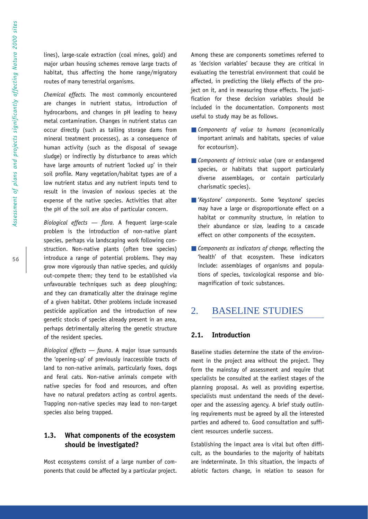lines), large-scale extraction (coal mines, gold) and major urban housing schemes remove large tracts of habitat, thus affecting the home range/migratory routes of many terrestrial organisms.

*Chemical effects.* The most commonly encountered are changes in nutrient status, introduction of hydrocarbons, and changes in pH leading to heavy metal contamination. Changes in nutrient status can occur directly (such as tailing storage dams from mineral treatment processes), as a consequence of human activity (such as the disposal of sewage sludge) or indirectly by disturbance to areas which have large amounts of nutrient 'locked up' in their soil profile. Many vegetation/habitat types are of a low nutrient status and any nutrient inputs tend to result in the invasion of noxious species at the expense of the native species. Activities that alter the pH of the soil are also of particular concern.

*Biological effects — flora.* A frequent large-scale problem is the introduction of non-native plant species, perhaps via landscaping work following construction. Non-native plants (often tree species) introduce a range of potential problems. They may grow more vigorously than native species, and quickly out-compete them; they tend to be established via unfavourable techniques such as deep ploughing; and they can dramatically alter the drainage regime of a given habitat. Other problems include increased pesticide application and the introduction of new genetic stocks of species already present in an area, perhaps detrimentally altering the genetic structure of the resident species.

*Biological effects — fauna*. A major issue surrounds the 'opening-up' of previously inaccessible tracts of land to non-native animals, particularly foxes, dogs and feral cats. Non-native animals compete with native species for food and resources, and often have no natural predators acting as control agents. Trapping non-native species may lead to non-target species also being trapped.

# **1.3. What components of the ecosystem should be investigated?**

Most ecosystems consist of a large number of components that could be affected by a particular project. Among these are components sometimes referred to as 'decision variables' because they are critical in evaluating the terrestrial environment that could be affected, in predicting the likely effects of the project on it, and in measuring those effects. The justification for these decision variables should be included in the documentation. Components most useful to study may be as follows.

- *Components of value to humans* (economically important animals and habitats, species of value for ecotourism).
- *Components of intrinsic value* (rare or endangered species, or habitats that support particularly diverse assemblages, or contain particularly charismatic species).
- '*Keystone' components*. Some 'keystone' species may have a large or disproportionate effect on a habitat or community structure, in relation to their abundance or size, leading to a cascade effect on other components of the ecosystem.
- *Components as indicators of change*, reflecting the 'health' of that ecosystem. These indicators include: assemblages of organisms and populations of species, toxicological response and biomagnification of toxic substances.

# 2. BASELINE STUDIES

## **2.1. Introduction**

Baseline studies determine the state of the environment in the project area without the project. They form the mainstay of assessment and require that specialists be consulted at the earliest stages of the planning proposal. As well as providing expertise, specialists must understand the needs of the developer and the assessing agency. A brief study outlining requirements must be agreed by all the interested parties and adhered to. Good consultation and sufficient resources underlie success.

Establishing the impact area is vital but often difficult, as the boundaries to the majority of habitats are indeterminate. In this situation, the impacts of abiotic factors change, in relation to season for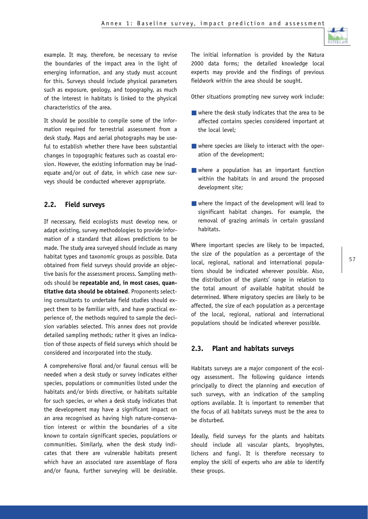

example. It may, therefore, be necessary to revise the boundaries of the impact area in the light of emerging information, and any study must account for this. Surveys should include physical parameters such as exposure, geology, and topography, as much of the interest in habitats is linked to the physical characteristics of the area.

It should be possible to compile some of the information required for terrestrial assessment from a desk study. Maps and aerial photographs may be useful to establish whether there have been substantial changes in topographic features such as coastal erosion. However, the existing information may be inadequate and/or out of date, in which case new surveys should be conducted wherever appropriate.

# **2.2. Field surveys**

If necessary, field ecologists must develop new, or adapt existing, survey methodologies to provide information of a standard that allows predictions to be made. The study area surveyed should include as many habitat types and taxonomic groups as possible. Data obtained from field surveys should provide an objective basis for the assessment process. Sampling methods should be **repeatable and, in most cases, quantitative data should be obtained**. Proponents selecting consultants to undertake field studies should expect them to be familiar with, and have practical experience of, the methods required to sample the decision variables selected. This annex does not provide detailed sampling methods; rather it gives an indication of those aspects of field surveys which should be considered and incorporated into the study.

A comprehensive floral and/or faunal census will be needed when a desk study or survey indicates either species, populations or communities listed under the habitats and/or birds directive, or habitats suitable for such species, or when a desk study indicates that the development may have a significant impact on an area recognised as having high nature-conservation interest or within the boundaries of a site known to contain significant species, populations or communities. Similarly, when the desk study indicates that there are vulnerable habitats present which have an associated rare assemblage of flora and/or fauna, further surveying will be desirable.

The initial information is provided by the Natura 2000 data forms; the detailed knowledge local experts may provide and the findings of previous fieldwork within the area should be sought.

Other situations prompting new survey work include:

- $\blacksquare$  where the desk study indicates that the area to be affected contains species considered important at the local level;
- where species are likely to interact with the operation of the development;
- where a population has an important function within the habitats in and around the proposed development site;
- where the impact of the development will lead to significant habitat changes. For example, the removal of grazing animals in certain grassland habitats.

Where important species are likely to be impacted, the size of the population as a percentage of the local, regional, national and international populations should be indicated wherever possible. Also, the distribution of the plants' range in relation to the total amount of available habitat should be determined. Where migratory species are likely to be affected, the size of each population as a percentage of the local, regional, national and international populations should be indicated wherever possible.

# **2.3. Plant and habitats surveys**

Habitats surveys are a major component of the ecology assessment. The following guidance intends principally to direct the planning and execution of such surveys, with an indication of the sampling options available. It is important to remember that the focus of all habitats surveys must be the area to be disturbed.

Ideally, field surveys for the plants and habitats should include all vascular plants, bryophytes, lichens and fungi. It is therefore necessary to employ the skill of experts who are able to identify these groups.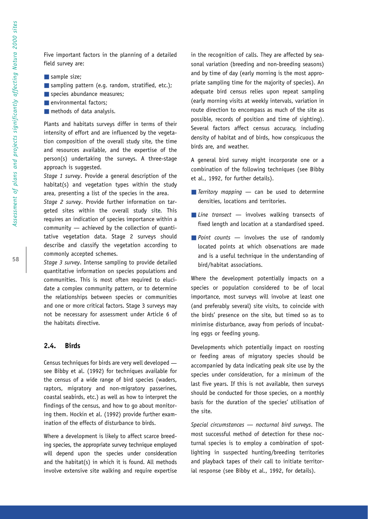Five important factors in the planning of a detailed field survey are:

- sample size;
- sampling pattern (e.g. random, stratified, etc.);
- species abundance measures;
- environmental factors;
- methods of data analysis.

Plants and habitats surveys differ in terms of their intensity of effort and are influenced by the vegetation composition of the overall study site, the time and resources available, and the expertise of the person(s) undertaking the surveys. A three-stage approach is suggested.

*Stage 1 survey*. Provide a general description of the habitat(s) and vegetation types within the study area, presenting a list of the species in the area.

*Stage 2 survey*. Provide further information on targeted sites within the overall study site. This requires an indication of species importance within a community — achieved by the collection of quantitative vegetation data. Stage 2 surveys should describe and classify the vegetation according to commonly accepted schemes.

*Stage 3 survey*. Intense sampling to provide detailed quantitative information on species populations and communities. This is most often required to elucidate a complex community pattern, or to determine the relationships between species or communities and one or more critical factors. Stage 3 surveys may not be necessary for assessment under Article 6 of the habitats directive.

# **2.4. Birds**

Census techniques for birds are very well developed see Bibby et al. (1992) for techniques available for the census of a wide range of bird species (waders, raptors, migratory and non-migratory passerines, coastal seabirds, etc.) as well as how to interpret the findings of the census, and how to go about monitoring them. Hockin et al. (1992) provide further examination of the effects of disturbance to birds.

Where a development is likely to affect scarce breeding species, the appropriate survey technique employed will depend upon the species under consideration and the habitat(s) in which it is found. All methods involve extensive site walking and require expertise in the recognition of calls. They are affected by seasonal variation (breeding and non-breeding seasons) and by time of day (early morning is the most appropriate sampling time for the majority of species). An adequate bird census relies upon repeat sampling (early morning visits at weekly intervals, variation in route direction to encompass as much of the site as possible, records of position and time of sighting). Several factors affect census accuracy, including density of habitat and of birds, how conspicuous the birds are, and weather.

A general bird survey might incorporate one or a combination of the following techniques (see Bibby et al., 1992, for further details).

- *Territory mapping* can be used to determine densities, locations and territories.
- *Line transect* involves walking transects of fixed length and location at a standardised speed.
- *Point counts* involves the use of randomly located points at which observations are made and is a useful technique in the understanding of bird/habitat associations.

Where the development potentially impacts on a species or population considered to be of local importance, most surveys will involve at least one (and preferably several) site visits, to coincide with the birds' presence on the site, but timed so as to minimise disturbance, away from periods of incubating eggs or feeding young.

Developments which potentially impact on roosting or feeding areas of migratory species should be accompanied by data indicating peak site use by the species under consideration, for a minimum of the last five years. If this is not available, then surveys should be conducted for those species, on a monthly basis for the duration of the species' utilisation of the site.

*Special circumstances — nocturnal bird surveys*. The most successful method of detection for these nocturnal species is to employ a combination of spotlighting in suspected hunting/breeding territories and playback tapes of their call to initiate territorial response (see Bibby et al., 1992, for details).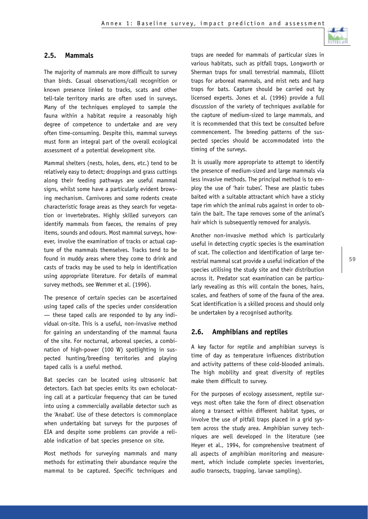

## **2.5. Mammals**

The majority of mammals are more difficult to survey than birds. Casual observations/call recognition or known presence linked to tracks, scats and other tell-tale territory marks are often used in surveys. Many of the techniques employed to sample the fauna within a habitat require a reasonably high degree of competence to undertake and are very often time-consuming. Despite this, mammal surveys must form an integral part of the overall ecological assessment of a potential development site.

Mammal shelters (nests, holes, dens, etc.) tend to be relatively easy to detect; droppings and grass cuttings along their feeding pathways are useful mammal signs, whilst some have a particularly evident browsing mechanism. Carnivores and some rodents create characteristic forage areas as they search for vegetation or invertebrates. Highly skilled surveyors can identify mammals from faeces, the remains of prey items, sounds and odours. Most mammal surveys, however, involve the examination of tracks or actual capture of the mammals themselves. Tracks tend to be found in muddy areas where they come to drink and casts of tracks may be used to help in identification using appropriate literature. For details of mammal survey methods, see Wemmer et al. (1996).

The presence of certain species can be ascertained using taped calls of the species under consideration — these taped calls are responded to by any individual on-site. This is a useful, non-invasive method for gaining an understanding of the mammal fauna of the site. For nocturnal, arboreal species, a combination of high-power (100 W) spotlighting in suspected hunting/breeding territories and playing taped calls is a useful method.

Bat species can be located using ultrasonic bat detectors. Each bat species emits its own echolocating call at a particular frequency that can be tuned into using a commercially available detector such as the 'Anabat'. Use of these detectors is commonplace when undertaking bat surveys for the purposes of EIA and despite some problems can provide a reliable indication of bat species presence on site.

Most methods for surveying mammals and many methods for estimating their abundance require the mammal to be captured. Specific techniques and traps are needed for mammals of particular sizes in various habitats, such as pitfall traps, Longworth or Sherman traps for small terrestrial mammals, Elliott traps for arboreal mammals, and mist nets and harp traps for bats. Capture should be carried out by licensed experts. Jones et al. (1996) provide a full discussion of the variety of techniques available for the capture of medium-sized to large mammals, and it is recommended that this text be consulted before commencement. The breeding patterns of the suspected species should be accommodated into the timing of the surveys.

It is usually more appropriate to attempt to identify the presence of medium-sized and large mammals via less invasive methods. The principal method is to employ the use of 'hair tubes'. These are plastic tubes baited with a suitable attractant which have a sticky tape rim which the animal rubs against in order to obtain the bait. The tape removes some of the animal's hair which is subsequently removed for analysis.

Another non-invasive method which is particularly useful in detecting cryptic species is the examination of scat. The collection and identification of large terrestrial mammal scat provide a useful indication of the species utilising the study site and their distribution across it. Predator scat examination can be particularly revealing as this will contain the bones, hairs, scales, and feathers of some of the fauna of the area. Scat identification is a skilled process and should only be undertaken by a recognised authority.

#### **2.6. Amphibians and reptiles**

A key factor for reptile and amphibian surveys is time of day as temperature influences distribution and activity patterns of these cold-blooded animals. The high mobility and great diversity of reptiles make them difficult to survey.

For the purposes of ecology assessment, reptile surveys most often take the form of direct observation along a transect within different habitat types, or involve the use of pitfall traps placed in a grid system across the study area. Amphibian survey techniques are well developed in the literature (see Heyer et al., 1994, for comprehensive treatment of all aspects of amphibian monitoring and measurement, which include complete species inventories, audio transects, trapping, larvae sampling).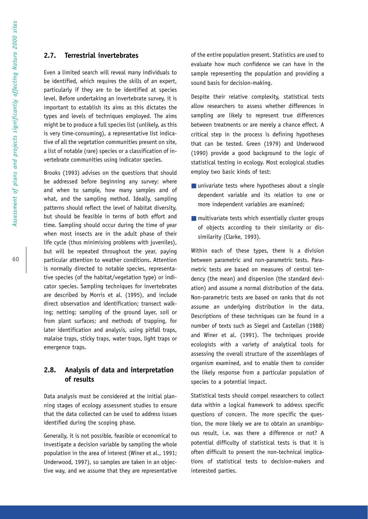#### **2.7. Terrestrial invertebrates**

Even a limited search will reveal many individuals to be identified, which requires the skills of an expert, particularly if they are to be identified at species level. Before undertaking an invertebrate survey, it is important to establish its aims as this dictates the types and levels of techniques employed. The aims might be to produce a full species list (unlikely, as this is very time-consuming), a representative list indicative of all the vegetation communities present on site, a list of notable (rare) species or a classification of invertebrate communities using indicator species.

Brooks (1993) advises on the questions that should be addressed before beginning any survey: where and when to sample, how many samples and of what, and the sampling method. Ideally, sampling patterns should reflect the level of habitat diversity, but should be feasible in terms of both effort and time. Sampling should occur during the time of year when most insects are in the adult phase of their life cycle (thus minimising problems with juveniles), but will be repeated throughout the year, paying particular attention to weather conditions. Attention is normally directed to notable species, representative species (of the habitat/vegetation type) or indicator species. Sampling techniques for invertebrates are described by Morris et al. (1995), and include direct observation and identification; transect walking; netting; sampling of the ground layer, soil or from plant surfaces; and methods of trapping, for later identification and analysis, using pitfall traps, malaise traps, sticky traps, water traps, light traps or emergence traps.

# **2.8. Analysis of data and interpretation of results**

Data analysis must be considered at the initial planning stages of ecology assessment studies to ensure that the data collected can be used to address issues identified during the scoping phase.

Generally, it is not possible, feasible or economical to investigate a decision variable by sampling the whole population in the area of interest (Winer et al., 1991; Underwood, 1997), so samples are taken in an objective way, and we assume that they are representative of the entire population present. Statistics are used to evaluate how much confidence we can have in the sample representing the population and providing a sound basis for decision-making.

Despite their relative complexity, statistical tests allow researchers to assess whether differences in sampling are likely to represent true differences between treatments or are merely a chance effect. A critical step in the process is defining hypotheses that can be tested. Green (1979) and Underwood (1990) provide a good background to the logic of statistical testing in ecology. Most ecological studies employ two basic kinds of test:

- univariate tests where hypotheses about a single dependent variable and its relation to one or more independent variables are examined;
- $\blacksquare$  multivariate tests which essentially cluster groups of objects according to their similarity or dissimilarity (Clarke, 1993).

Within each of these types, there is a division between parametric and non-parametric tests. Parametric tests are based on measures of central tendency (the mean) and dispersion (the standard deviation) and assume a normal distribution of the data. Non-parametric tests are based on ranks that do not assume an underlying distribution in the data. Descriptions of these techniques can be found in a number of texts such as Siegel and Castellan (1988) and Winer et al. (1991). The techniques provide ecologists with a variety of analytical tools for assessing the overall structure of the assemblages of organism examined, and to enable them to consider the likely response from a particular population of species to a potential impact.

Statistical tests should compel researchers to collect data within a logical framework to address specific questions of concern. The more specific the question, the more likely we are to obtain an unambiguous result, i.e. was there a difference or not? A potential difficulty of statistical tests is that it is often difficult to present the non-technical implications of statistical tests to decision-makers and interested parties.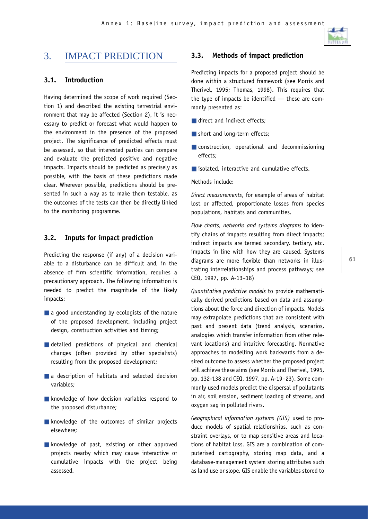

# 3. IMPACT PREDICTION

# **3.1. Introduction**

Having determined the scope of work required (Section 1) and described the existing terrestrial environment that may be affected (Section 2), it is necessary to predict or forecast what would happen to the environment in the presence of the proposed project. The significance of predicted effects must be assessed, so that interested parties can compare and evaluate the predicted positive and negative impacts. Impacts should be predicted as precisely as possible, with the basis of these predictions made clear. Wherever possible, predictions should be presented in such a way as to make them testable, as the outcomes of the tests can then be directly linked to the monitoring programme.

# **3.2. Inputs for impact prediction**

Predicting the response (if any) of a decision variable to a disturbance can be difficult and, in the absence of firm scientific information, requires a precautionary approach. The following information is needed to predict the magnitude of the likely impacts:

- $\blacksquare$  a good understanding by ecologists of the nature of the proposed development, including project design, construction activities and timing;
- detailed predictions of physical and chemical changes (often provided by other specialists) resulting from the proposed development;
- a description of habitats and selected decision variables;
- knowledge of how decision variables respond to the proposed disturbance;
- knowledge of the outcomes of similar projects elsewhere;
- knowledge of past, existing or other approved projects nearby which may cause interactive or cumulative impacts with the project being assessed.

# **3.3. Methods of impact prediction**

Predicting impacts for a proposed project should be done within a structured framework (see Morris and Therivel, 1995; Thomas, 1998). This requires that the type of impacts be identified — these are commonly presented as:

- direct and indirect effects;
- short and long-term effects:
- construction, operational and decommissioning effects;
- isolated, interactive and cumulative effects.

#### Methods include:

*Direct measurements*, for example of areas of habitat lost or affected, proportionate losses from species populations, habitats and communities.

*Flow charts, networks and systems diagrams* to identify chains of impacts resulting from direct impacts; indirect impacts are termed secondary, tertiary, etc. impacts in line with how they are caused. Systems diagrams are more flexible than networks in illustrating interrelationships and process pathways; see CEQ, 1997, pp. A-13–18)

*Quantitative predictive models* to provide mathematically derived predictions based on data and assumptions about the force and direction of impacts. Models may extrapolate predictions that are consistent with past and present data (trend analysis, scenarios, analogies which transfer information from other relevant locations) and intuitive forecasting. Normative approaches to modelling work backwards from a desired outcome to assess whether the proposed project will achieve these aims (see Morris and Therivel, 1995, pp. 132-138 and CEQ, 1997, pp. A-19–23). Some commonly used models predict the dispersal of pollutants in air, soil erosion, sediment loading of streams, and oxygen sag in polluted rivers.

*Geographical information systems (GIS)* used to produce models of spatial relationships, such as constraint overlays, or to map sensitive areas and locations of habitat loss. GIS are a combination of computerised cartography, storing map data, and a database-management system storing attributes such as land use or slope. GIS enable the variables stored to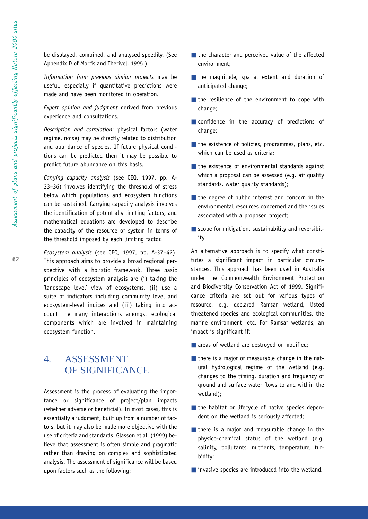**62**

be displayed, combined, and analysed speedily. (See Appendix D of Morris and Therivel, 1995.)

*Information from previous similar projects* may be useful, especially if quantitative predictions were made and have been monitored in operation.

*Expert opinion and judgment* derived from previous experience and consultations.

*Description and correlation*: physical factors (water regime, noise) may be directly related to distribution and abundance of species. If future physical conditions can be predicted then it may be possible to predict future abundance on this basis.

*Carrying capacity analysis* (see CEQ, 1997, pp. A-33–36) involves identifying the threshold of stress below which populations and ecosystem functions can be sustained. Carrying capacity analysis involves the identification of potentially limiting factors, and mathematical equations are developed to describe the capacity of the resource or system in terms of the threshold imposed by each limiting factor.

*Ecosystem analysis* (see CEQ, 1997, pp. A-37–42). This approach aims to provide a broad regional perspective with a holistic framework. Three basic principles of ecosystem analysis are (i) taking the 'landscape level' view of ecosystems, (ii) use a suite of indicators including community level and ecosystem-level indices and (iii) taking into account the many interactions amongst ecological components which are involved in maintaining ecosystem function.

# 4. ASSESSMENT OF SIGNIFICANCE

Assessment is the process of evaluating the importance or significance of project/plan impacts (whether adverse or beneficial). In most cases, this is essentially a judgment, built up from a number of factors, but it may also be made more objective with the use of criteria and standards. Glasson et al. (1999) believe that assessment is often simple and pragmatic rather than drawing on complex and sophisticated analysis. The assessment of significance will be based upon factors such as the following:

- the character and perceived value of the affected environment;
- the magnitude, spatial extent and duration of anticipated change;
- the resilience of the environment to cope with change;
- confidence in the accuracy of predictions of change;
- the existence of policies, programmes, plans, etc. which can be used as criteria;
- $\blacksquare$  the existence of environmental standards against which a proposal can be assessed (e.g. air quality standards, water quality standards);
- the degree of public interest and concern in the environmental resources concerned and the issues associated with a proposed project;
- scope for mitigation, sustainability and reversibility.

An alternative approach is to specify what constitutes a significant impact in particular circumstances. This approach has been used in Australia under the Commonwealth Environment Protection and Biodiversity Conservation Act of 1999. Significance criteria are set out for various types of resource, e.g. declared Ramsar wetland, listed threatened species and ecological communities, the marine environment, etc. For Ramsar wetlands, an impact is significant if:

- areas of wetland are destroyed or modified;
- there is a major or measurable change in the natural hydrological regime of the wetland (e.g. changes to the timing, duration and frequency of ground and surface water flows to and within the wetland);
- the habitat or lifecycle of native species dependent on the wetland is seriously affected;
- there is a major and measurable change in the physico-chemical status of the wetland (e.g. salinity, pollutants, nutrients, temperature, turbidity;
- invasive species are introduced into the wetland.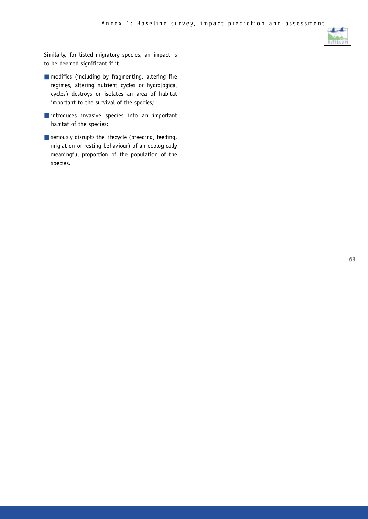

Similarly, for listed migratory species, an impact is to be deemed significant if it:

- modifies (including by fragmenting, altering fire regimes, altering nutrient cycles or hydrological cycles) destroys or isolates an area of habitat important to the survival of the species;
- introduces invasive species into an important habitat of the species;
- seriously disrupts the lifecycle (breeding, feeding, migration or resting behaviour) of an ecologically meaningful proportion of the population of the species.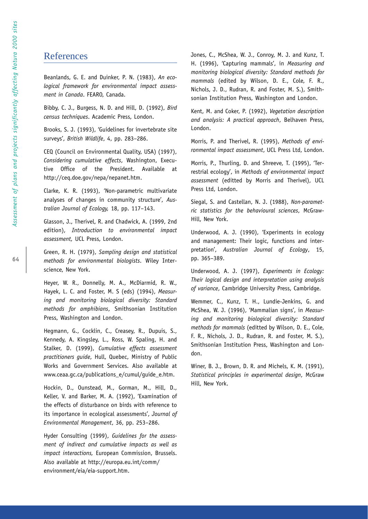# References

Beanlands, G. E. and Duinker, P. N. (1983), *An ecological framework for environmental impact assessment in Canada*. FEARO, Canada.

Bibby, C. J., Burgess, N. D. and Hill, D. (1992), *Bird census techniques*. Academic Press, London.

Brooks, S. J. (1993), 'Guidelines for invertebrate site surveys', *British Wildlife*, 4, pp. 283–286.

CEQ (Council on Environmental Quality, USA) (1997), *Considering cumulative effects*, Washington, Executive Office of the President. Available at http://ceq.doe.gov/nepa/nepanet.htm.

Clarke, K. R. (1993), 'Non-parametric multivariate analyses of changes in community structure', *Australian Journal of Ecology,* 18, pp. 117–143.

Glasson, J., Therivel, R. and Chadwick, A. (1999, 2nd edition), *Introduction to environmental impact assessment,* UCL Press, London.

Green, R. H. (1979), *Sampling design and statistical methods for environmental biologists*. Wiley Interscience, New York.

Heyer, W. R., Donnelly, M. A., McDiarmid, R. W., Hayek, L. C. and Foster, M. S (eds) (1994), *Measuring and monitoring biological diversity: Standard methods for amphibians*, Smithsonian Institution Press, Washington and London.

Hegmann, G., Cocklin, C., Creasey, R., Dupuis, S., Kennedy, A. Kingsley, L., Ross, W. Spaling, H. and Stalker, D. (1999), *Cumulative effects assessment practitioners guide*, Hull, Quebec, Ministry of Public Works and Government Services. Also available at www.ceaa.gc.ca/publications\_e/cumul/guide\_e.htm.

Hockin, D., Ounstead, M., Gorman, M., Hill, D., Keller, V. and Barker, M. A. (1992), 'Examination of the effects of disturbance on birds with reference to its importance in ecological assessments', *Journal of Environmental Management*, 36, pp. 253–286.

Hyder Consulting (1999), *Guidelines for the assessment of indirect and cumulative impacts as well as impact interactions,* European Commission, Brussels. Also available at http://europa.eu.int/comm/ environment/eia/eia-support.htm.

Jones, C., McShea, W. J., Conroy, M. J. and Kunz, T. H. (1996), 'Capturing mammals', in *Measuring and monitoring biological diversity: Standard methods for mammals* (edited by Wilson, D. E., Cole, F. R., Nichols, J. D., Rudran, R. and Foster, M. S.), Smithsonian Institution Press, Washington and London.

Kent, M. and Coker, P. (1992), *Vegetation description and analysis: A practical approach*, Belhaven Press, London.

Morris, P. and Therivel, R. (1995), *Methods of environmental impact assessment*, UCL Press Ltd, London.

Morris, P., Thurling, D. and Shreeve, T. (1995), 'Terrestrial ecology', in *Methods of environmental impact assessment* (editted by Morris and Therivel), UCL Press Ltd, London.

Siegal, S. and Castellan, N. J. (1988), *Non-parametric statistics for the behavioural sciences*, McGraw-Hill, New York.

Underwood, A. J. (1990), 'Experiments in ecology and management: Their logic, functions and interpretation', *Australian Journal of Ecology*, 15, pp. 365–389.

Underwood, A. J. (1997), *Experiments in Ecology: Their logical design and interpretation using analysis of variance*, Cambridge University Press, Cambridge.

Wemmer, C., Kunz, T. H., Lundie-Jenkins, G. and McShea, W. J. (1996), 'Mammalian signs', in *Measuring and monitoring biological diversity: Standard methods for mammals* (editted by Wilson, D. E., Cole, F. R., Nichols, J. D., Rudran, R. and Foster, M. S.), Smithsonian Institution Press, Washington and London.

Winer, B. J., Brown, D. R. and Michels, K. M. (1991), *Statistical principles in experimental design*, McGraw Hill, New York.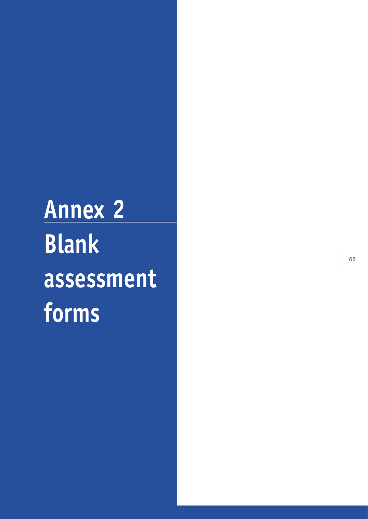**Annex 2 Blank assessment forms**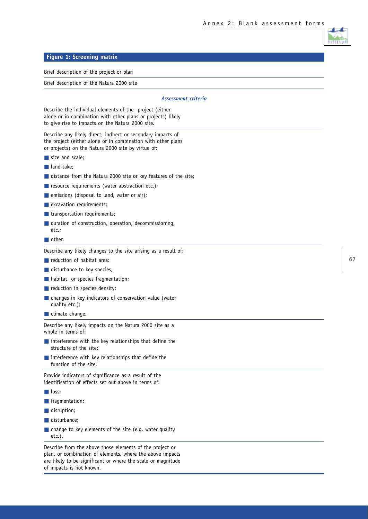#### **Figure 1: Screening matrix**

Brief description of the project or plan

Brief description of the Natura 2000 site

#### *Assessment criteria*

Describe the individual elements of the project (either alone or in combination with other plans or projects) likely to give rise to impacts on the Natura 2000 site.

Describe any likely direct, indirect or secondary impacts of the project (either alone or in combination with other plans or projects) on the Natura 2000 site by virtue of:

- size and scale:
- land-take:
- distance from the Natura 2000 site or key features of the site;
- resource requirements (water abstraction etc.);
- emissions (disposal to land, water or air);
- **E** excavation requirements;
- transportation requirements;
- duration of construction, operation, decommissioning, etc.;
- other.

Describe any likely changes to the site arising as a result of:

- reduction of habitat area:
- disturbance to key species;
- habitat or species fragmentation;
- reduction in species density;
- changes in key indicators of conservation value (water quality etc.);
- climate change.

Describe any likely impacts on the Natura 2000 site as a whole in terms of:

- interference with the key relationships that define the structure of the site;
- interference with key relationships that define the function of the site.

Provide indicators of significance as a result of the identification of effects set out above in terms of:

- loss;
- fragmentation;
- disruption;
- disturbance;
- change to key elements of the site (e.g. water quality etc.).

Describe from the above those elements of the project or plan, or combination of elements, where the above impacts are likely to be significant or where the scale or magnitude of impacts is not known.

**67**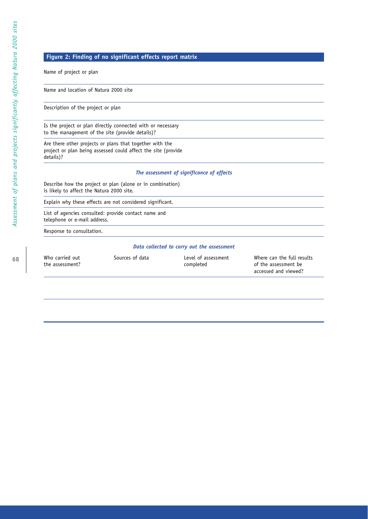## **Figure 2: Finding of no significant effects report matrix**

Name of project or plan

Name and location of Natura 2000 site

Description of the project or plan

Is the project or plan directly connected with or necessary to the management of the site (provide details)?

Are there other projects or plans that together with the project or plan being assessed could affect the site (provide details)?

#### *The assessment of significance of effects*

Describe how the project or plan (alone or in combination) is likely to affect the Natura 2000 site.

Explain why these effects are not considered significant.

List of agencies consulted: provide contact name and telephone or e-mail address.

Response to consultation.

#### *Data collected to carry out the assessment*

| Who carried out<br>the assessment? | Sources of data | Level of assessment<br>completed | Where can the full results<br>of the assessment be<br>accessed and viewed? |
|------------------------------------|-----------------|----------------------------------|----------------------------------------------------------------------------|
|------------------------------------|-----------------|----------------------------------|----------------------------------------------------------------------------|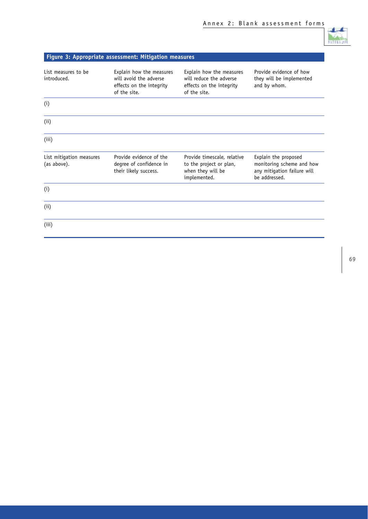|                                         | <b>Figure 3: Appropriate assessment: Mitigation measures</b>                                   |                                                                                                 |                                                                                                   |
|-----------------------------------------|------------------------------------------------------------------------------------------------|-------------------------------------------------------------------------------------------------|---------------------------------------------------------------------------------------------------|
| List measures to be<br>introduced.      | Explain how the measures<br>will avoid the adverse<br>effects on the integrity<br>of the site. | Explain how the measures<br>will reduce the adverse<br>effects on the integrity<br>of the site. | Provide evidence of how<br>they will be implemented<br>and by whom.                               |
| (i)                                     |                                                                                                |                                                                                                 |                                                                                                   |
| (i)                                     |                                                                                                |                                                                                                 |                                                                                                   |
| (iii)                                   |                                                                                                |                                                                                                 |                                                                                                   |
| List mitigation measures<br>(as above). | Provide evidence of the<br>degree of confidence in<br>their likely success.                    | Provide timescale, relative<br>to the project or plan,<br>when they will be<br>implemented.     | Explain the proposed<br>monitoring scheme and how<br>any mitigation failure will<br>be addressed. |
| (i)                                     |                                                                                                |                                                                                                 |                                                                                                   |
| (i)                                     |                                                                                                |                                                                                                 |                                                                                                   |
| (iii)                                   |                                                                                                |                                                                                                 |                                                                                                   |

J. numi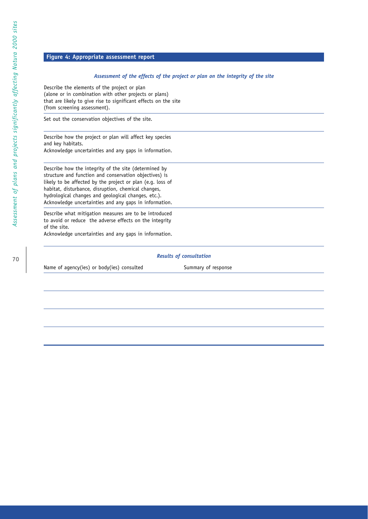#### **Figure 4: Appropriate assessment report**

#### *Assessment of the effects of the project or plan on the integrity of the site*

Describe the elements of the project or plan (alone or in combination with other projects or plans) that are likely to give rise to significant effects on the site (from screening assessment).

Set out the conservation objectives of the site.

Describe how the project or plan will affect key species and key habitats. Acknowledge uncertainties and any gaps in information.

Describe how the integrity of the site (determined by structure and function and conservation objectives) is likely to be affected by the project or plan (e.g. loss of habitat, disturbance, disruption, chemical changes, hydrological changes and geological changes, etc.). Acknowledge uncertainties and any gaps in information.

Describe what mitigation measures are to be introduced to avoid or reduce the adverse effects on the integrity of the site.

Acknowledge uncertainties and any gaps in information.

#### *Results of consultation*

Name of agency(ies) or body(ies) consulted Summary of response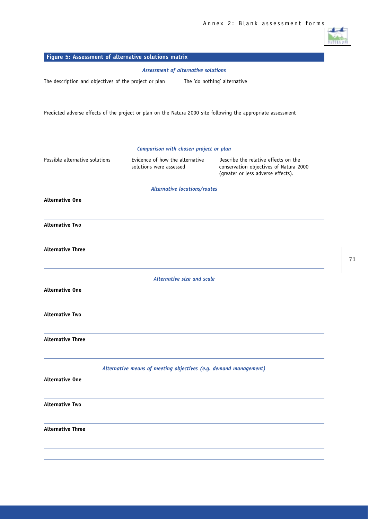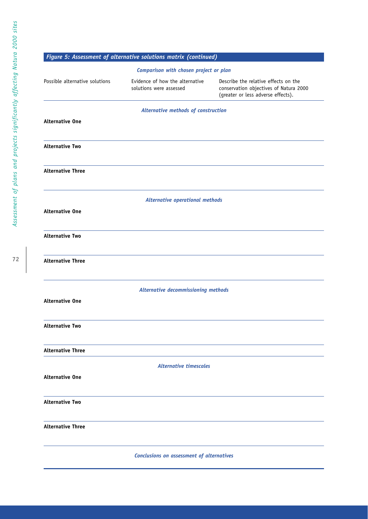|                                                  | Figure 5: Assessment of alternative solutions matrix (continued) |                                                                                                                      |  |  |  |  |
|--------------------------------------------------|------------------------------------------------------------------|----------------------------------------------------------------------------------------------------------------------|--|--|--|--|
| Comparison with chosen project or plan           |                                                                  |                                                                                                                      |  |  |  |  |
| Possible alternative solutions                   | Evidence of how the alternative<br>solutions were assessed       | Describe the relative effects on the<br>conservation objectives of Natura 2000<br>(greater or less adverse effects). |  |  |  |  |
| Alternative methods of construction              |                                                                  |                                                                                                                      |  |  |  |  |
| <b>Alternative One</b>                           |                                                                  |                                                                                                                      |  |  |  |  |
| <b>Alternative Two</b>                           |                                                                  |                                                                                                                      |  |  |  |  |
| <b>Alternative Three</b>                         |                                                                  |                                                                                                                      |  |  |  |  |
|                                                  | <b>Alternative operational methods</b>                           |                                                                                                                      |  |  |  |  |
| <b>Alternative One</b>                           |                                                                  |                                                                                                                      |  |  |  |  |
| <b>Alternative Two</b>                           |                                                                  |                                                                                                                      |  |  |  |  |
| <b>Alternative Three</b>                         |                                                                  |                                                                                                                      |  |  |  |  |
|                                                  | Alternative decommissioning methods                              |                                                                                                                      |  |  |  |  |
| <b>Alternative One</b>                           |                                                                  |                                                                                                                      |  |  |  |  |
| <b>Alternative Two</b>                           |                                                                  |                                                                                                                      |  |  |  |  |
| <b>Alternative Three</b>                         |                                                                  |                                                                                                                      |  |  |  |  |
| <b>Alternative timescales</b>                    |                                                                  |                                                                                                                      |  |  |  |  |
| <b>Alternative One</b>                           |                                                                  |                                                                                                                      |  |  |  |  |
| <b>Alternative Two</b>                           |                                                                  |                                                                                                                      |  |  |  |  |
| <b>Alternative Three</b>                         |                                                                  |                                                                                                                      |  |  |  |  |
| <b>Conclusions on assessment of alternatives</b> |                                                                  |                                                                                                                      |  |  |  |  |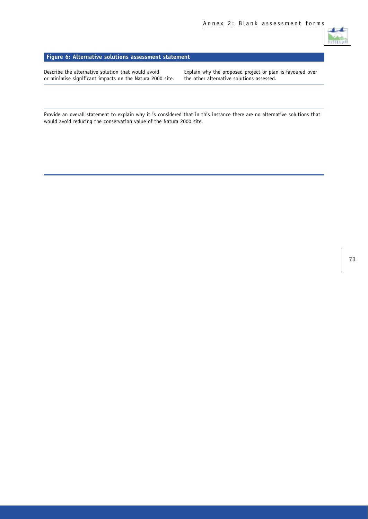

## **Figure 6: Alternative solutions assessment statement**

or minimise significant impacts on the Natura 2000 site.

Describe the alternative solution that would avoid<br>
or minimise significant impacts on the Natura 2000 site. 
the other alternative solutions assessed.

Provide an overall statement to explain why it is considered that in this instance there are no alternative solutions that would avoid reducing the conservation value of the Natura 2000 site.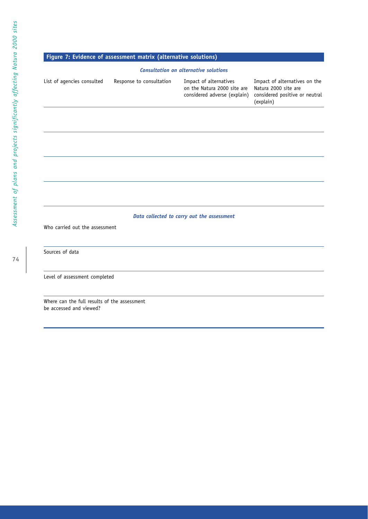# **Figure 7: Evidence of assessment matrix (alternative solutions)**

#### *Consultation on alternative solutions*

| List of agencies consulted                                              | Response to consultation | Impact of alternatives<br>on the Natura 2000 site are<br>considered adverse (explain) | Impact of alternatives on the<br>Natura 2000 site are<br>considered positive or neutral<br>(explain) |
|-------------------------------------------------------------------------|--------------------------|---------------------------------------------------------------------------------------|------------------------------------------------------------------------------------------------------|
|                                                                         |                          |                                                                                       |                                                                                                      |
|                                                                         |                          |                                                                                       |                                                                                                      |
|                                                                         |                          |                                                                                       |                                                                                                      |
|                                                                         |                          |                                                                                       |                                                                                                      |
|                                                                         |                          |                                                                                       |                                                                                                      |
|                                                                         |                          | Data collected to carry out the assessment                                            |                                                                                                      |
| Who carried out the assessment                                          |                          |                                                                                       |                                                                                                      |
| Sources of data                                                         |                          |                                                                                       |                                                                                                      |
| Level of assessment completed                                           |                          |                                                                                       |                                                                                                      |
| Where can the full results of the assessment<br>be accessed and viewed? |                          |                                                                                       |                                                                                                      |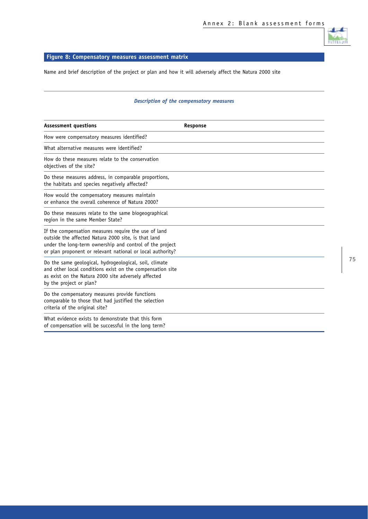

## **Figure 8: Compensatory measures assessment matrix**

Name and brief description of the project or plan and how it will adversely affect the Natura 2000 site

### *Description of the compensatory measures*

| <b>Assessment questions</b>                                                                                                                                                                                                           | Response |
|---------------------------------------------------------------------------------------------------------------------------------------------------------------------------------------------------------------------------------------|----------|
| How were compensatory measures identified?                                                                                                                                                                                            |          |
| What alternative measures were identified?                                                                                                                                                                                            |          |
| How do these measures relate to the conservation<br>objectives of the site?                                                                                                                                                           |          |
| Do these measures address, in comparable proportions,<br>the habitats and species negatively affected?                                                                                                                                |          |
| How would the compensatory measures maintain<br>or enhance the overall coherence of Natura 2000?                                                                                                                                      |          |
| Do these measures relate to the same biogeographical<br>region in the same Member State?                                                                                                                                              |          |
| If the compensation measures require the use of land<br>outside the affected Natura 2000 site, is that land<br>under the long-term ownership and control of the project<br>or plan proponent or relevant national or local authority? |          |
| Do the same geological, hydrogeological, soil, climate<br>and other local conditions exist on the compensation site<br>as exist on the Natura 2000 site adversely affected<br>by the project or plan?                                 |          |
| Do the compensatory measures provide functions<br>comparable to those that had justified the selection<br>criteria of the original site?                                                                                              |          |
| What evidence exists to demonstrate that this form<br>of compensation will be successful in the long term?                                                                                                                            |          |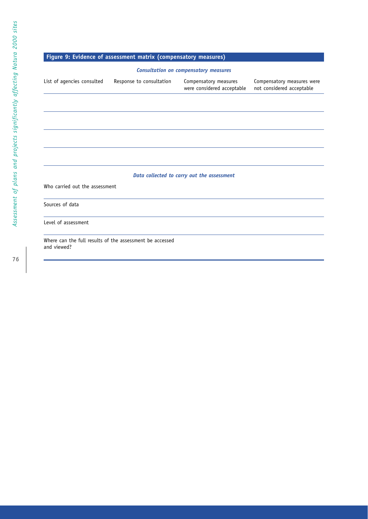## **Figure 9: Evidence of assessment matrix (compensatory measures)**

#### *Consultation on compensatory measures*

| List of agencies consulted | Response to consultation | Compensatory measures<br>were considered acceptable | Compensatory measures were<br>not considered acceptable |
|----------------------------|--------------------------|-----------------------------------------------------|---------------------------------------------------------|
|                            |                          |                                                     |                                                         |

### *Data collected to carry out the assessment*

Who carried out the assessment

Sources of data

Level of assessment

Where can the full results of the assessment be accessed and viewed?